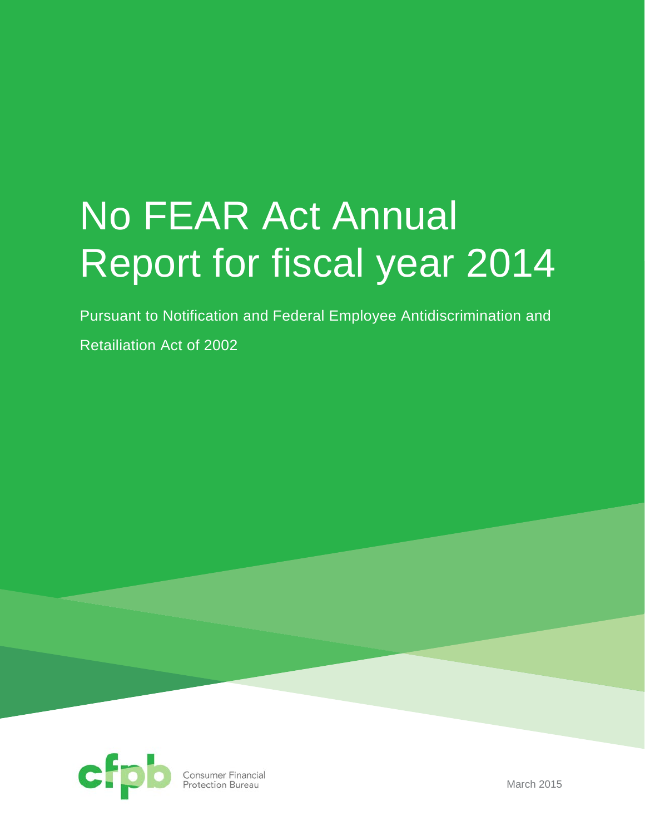# No FEAR Act Annual Report for fiscal year 2014

Pursuant to Notification and Federal Employee Antidiscrimination and

Retailiation Act of 2002



March 2015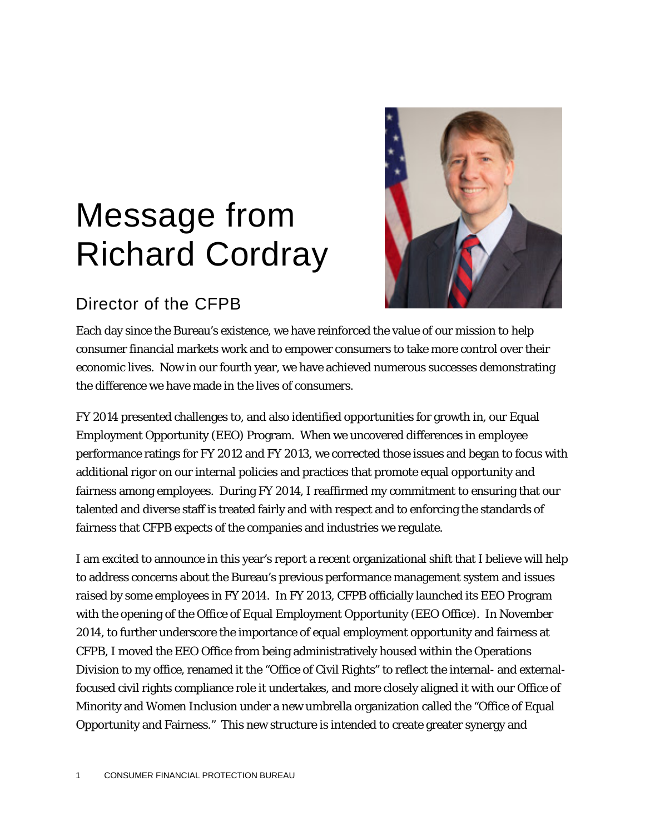# Message from Richard Cordray



### Director of the CFPB

Each day since the Bureau's existence, we have reinforced the value of our mission to help consumer financial markets work and to empower consumers to take more control over their economic lives. Now in our fourth year, we have achieved numerous successes demonstrating the difference we have made in the lives of consumers.

FY 2014 presented challenges to, and also identified opportunities for growth in, our Equal Employment Opportunity (EEO) Program. When we uncovered differences in employee performance ratings for FY 2012 and FY 2013, we corrected those issues and began to focus with additional rigor on our internal policies and practices that promote equal opportunity and fairness among employees. During FY 2014, I reaffirmed my commitment to ensuring that our talented and diverse staff is treated fairly and with respect and to enforcing the standards of fairness that CFPB expects of the companies and industries we regulate.

I am excited to announce in this year's report a recent organizational shift that I believe will help to address concerns about the Bureau's previous performance management system and issues raised by some employees in FY 2014. In FY 2013, CFPB officially launched its EEO Program with the opening of the Office of Equal Employment Opportunity (EEO Office). In November 2014, to further underscore the importance of equal employment opportunity and fairness at CFPB, I moved the EEO Office from being administratively housed within the Operations Division to my office, renamed it the "Office of Civil Rights" to reflect the internal- and externalfocused civil rights compliance role it undertakes, and more closely aligned it with our Office of Minority and Women Inclusion under a new umbrella organization called the "Office of Equal Opportunity and Fairness." This new structure is intended to create greater synergy and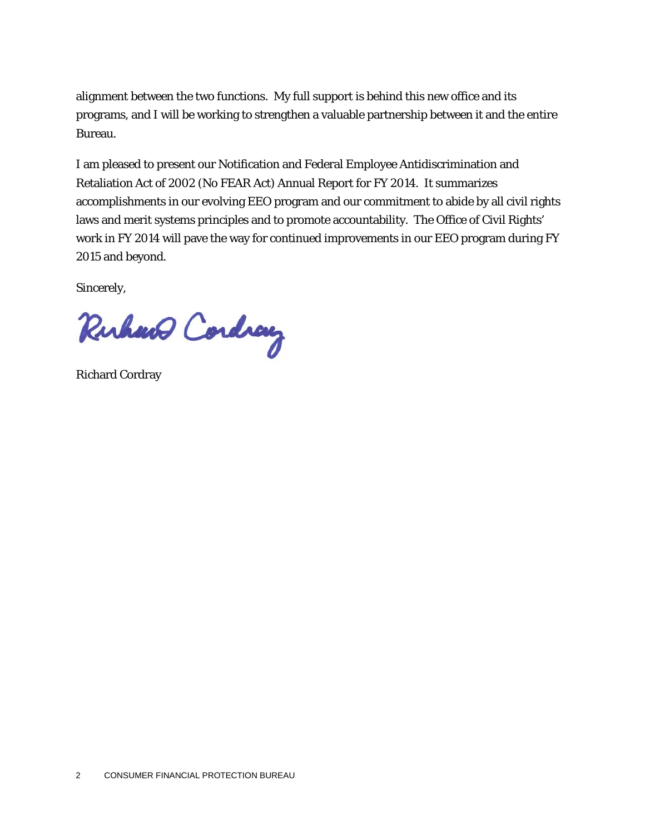alignment between the two functions. My full support is behind this new office and its programs, and I will be working to strengthen a valuable partnership between it and the entire Bureau.

I am pleased to present our Notification and Federal Employee Antidiscrimination and Retaliation Act of 2002 (No FEAR Act) Annual Report for FY 2014. It summarizes accomplishments in our evolving EEO program and our commitment to abide by all civil rights laws and merit systems principles and to promote accountability. The Office of Civil Rights' work in FY 2014 will pave the way for continued improvements in our EEO program during FY 2015 and beyond.

Sincerely,

Ruhano Cordiany

Richard Cordray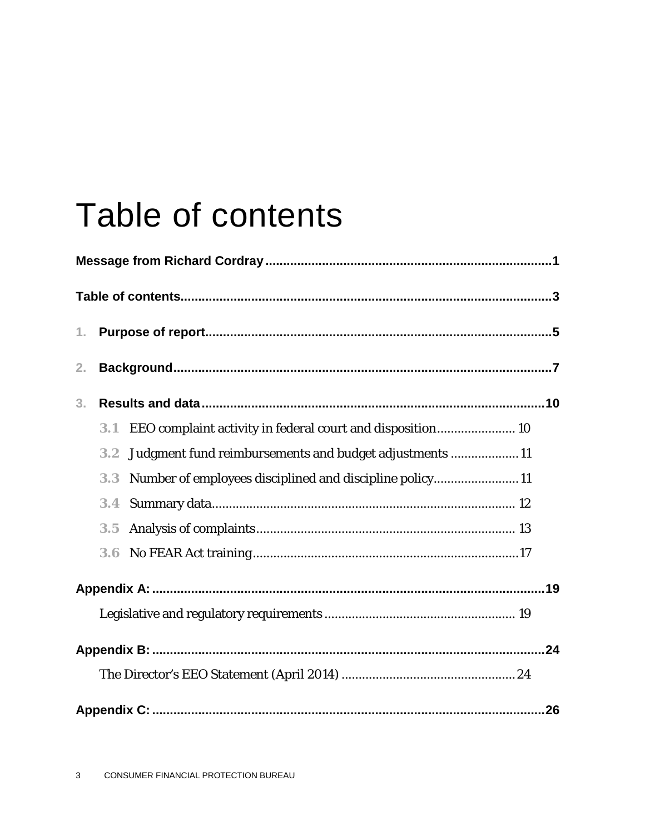## Table of contents

| 1.             |                  |                                                            |  |
|----------------|------------------|------------------------------------------------------------|--|
| 2.             |                  |                                                            |  |
| 3 <sub>1</sub> |                  |                                                            |  |
|                | 3.1              | EEO complaint activity in federal court and disposition 10 |  |
|                | 3.2              | Judgment fund reimbursements and budget adjustments  11    |  |
|                | 3.3              | Number of employees disciplined and discipline policy11    |  |
|                | 3.4              |                                                            |  |
|                | 3.5              |                                                            |  |
|                | 3.6 <sub>1</sub> |                                                            |  |
|                |                  |                                                            |  |
|                |                  |                                                            |  |
|                |                  |                                                            |  |
|                |                  |                                                            |  |
|                |                  |                                                            |  |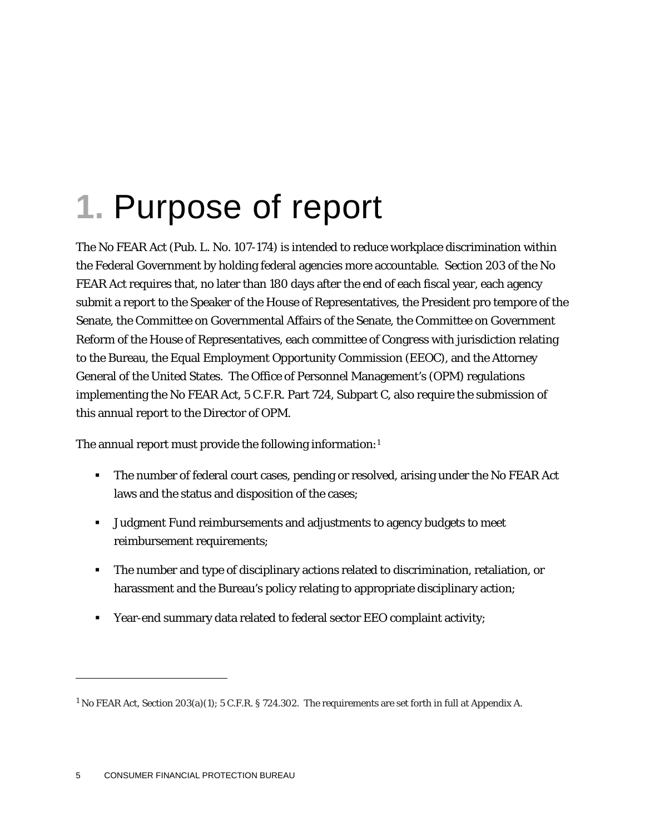# **1.** Purpose of report

The No FEAR Act (Pub. L. No. 107-174) is intended to reduce workplace discrimination within the Federal Government by holding federal agencies more accountable. Section 203 of the No FEAR Act requires that, no later than 180 days after the end of each fiscal year, each agency submit a report to the Speaker of the House of Representatives, the President pro tempore of the Senate, the Committee on Governmental Affairs of the Senate, the Committee on Government Reform of the House of Representatives, each committee of Congress with jurisdiction relating to the Bureau, the Equal Employment Opportunity Commission (EEOC), and the Attorney General of the United States. The Office of Personnel Management's (OPM) regulations implementing the No FEAR Act, 5 C.F.R. Part 724, Subpart C, also require the submission of this annual report to the Director of OPM.

The annual report must provide the following information:[1](#page-5-0)

- The number of federal court cases, pending or resolved, arising under the No FEAR Act laws and the status and disposition of the cases;
- Judgment Fund reimbursements and adjustments to agency budgets to meet reimbursement requirements;
- The number and type of disciplinary actions related to discrimination, retaliation, or harassment and the Bureau's policy relating to appropriate disciplinary action;
- Year-end summary data related to federal sector EEO complaint activity;

1

<span id="page-5-0"></span><sup>1</sup> No FEAR Act, Section 203(a)(1); 5 C.F.R. § 724.302. The requirements are set forth in full at Appendix A.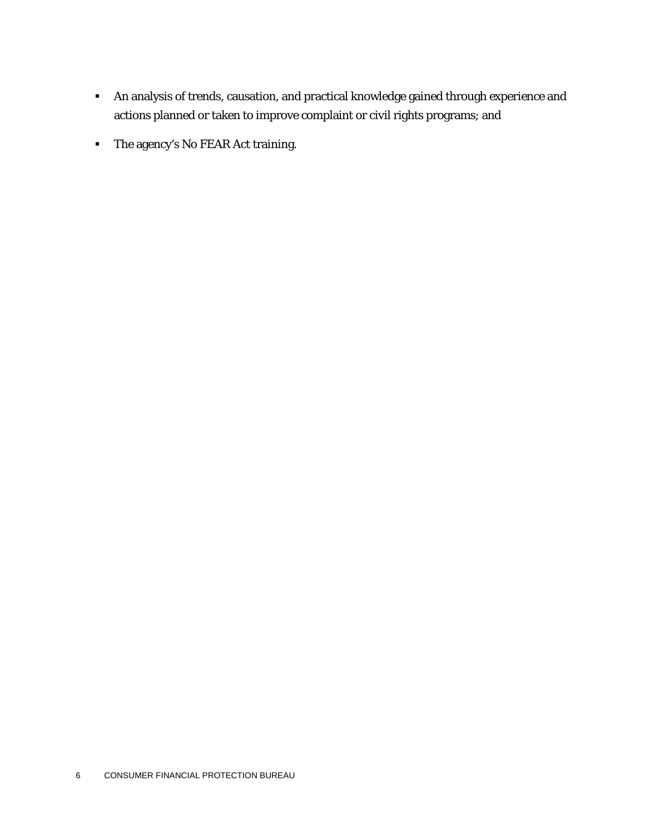- An analysis of trends, causation, and practical knowledge gained through experience and actions planned or taken to improve complaint or civil rights programs; and
- The agency's No FEAR Act training.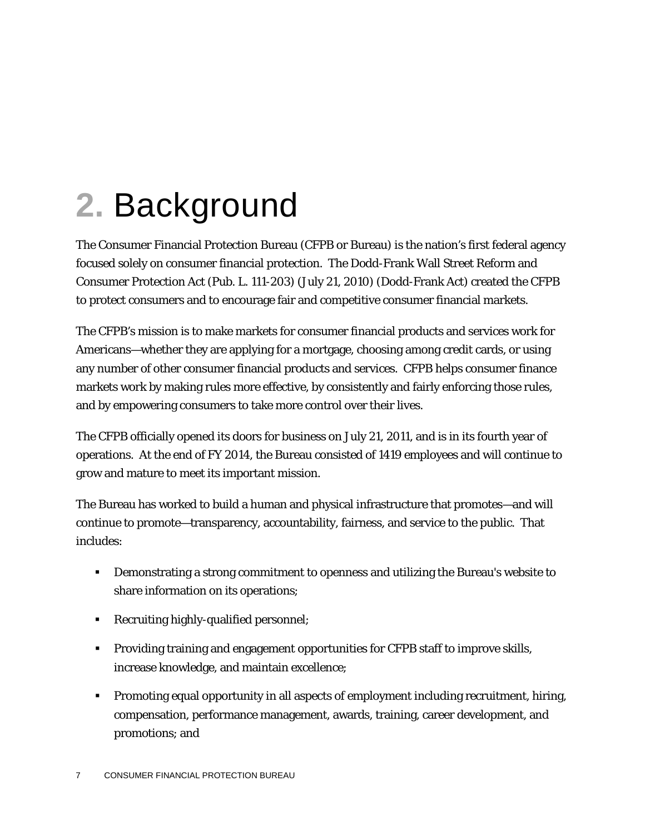# **2.** Background

The Consumer Financial Protection Bureau (CFPB or Bureau) is the nation's first federal agency focused solely on consumer financial protection. The Dodd-Frank Wall Street Reform and Consumer Protection Act (Pub. L. 111-203) (July 21, 2010) (Dodd-Frank Act) created the CFPB to protect consumers and to encourage fair and competitive consumer financial markets.

The CFPB's mission is to make markets for consumer financial products and services work for Americans—whether they are applying for a mortgage, choosing among credit cards, or using any number of other consumer financial products and services. CFPB helps consumer finance markets work by making rules more effective, by consistently and fairly enforcing those rules, and by empowering consumers to take more control over their lives.

The CFPB officially opened its doors for business on July 21, 2011, and is in its fourth year of operations. At the end of FY 2014, the Bureau consisted of 1419 employees and will continue to grow and mature to meet its important mission.

The Bureau has worked to build a human and physical infrastructure that promotes—and will continue to promote—transparency, accountability, fairness, and service to the public. That includes:

- Demonstrating a strong commitment to openness and utilizing the Bureau's website to share information on its operations;
- Recruiting highly-qualified personnel;
- **Providing training and engagement opportunities for CFPB staff to improve skills,** increase knowledge, and maintain excellence;
- Promoting equal opportunity in all aspects of employment including recruitment, hiring, compensation, performance management, awards, training, career development, and promotions; and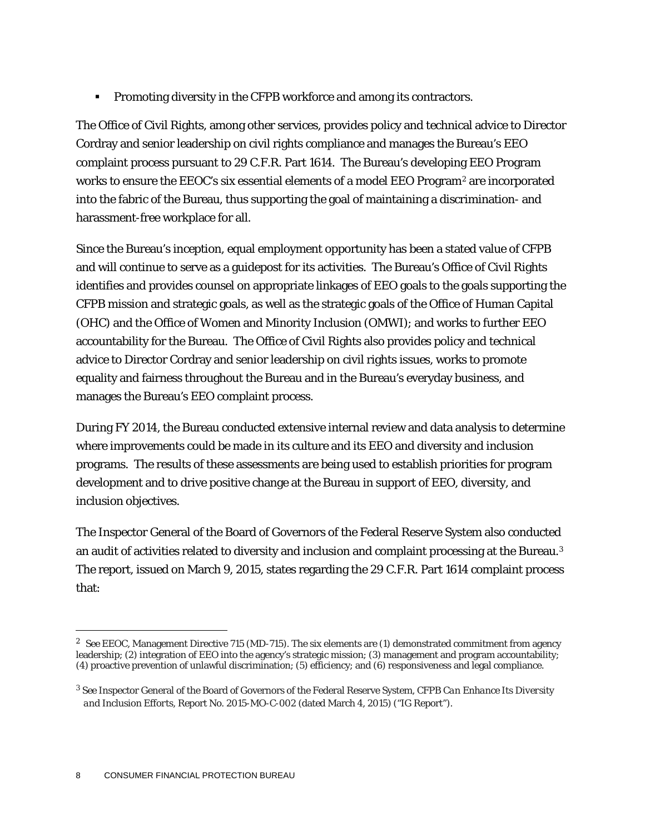**Promoting diversity in the CFPB workforce and among its contractors.** 

The Office of Civil Rights, among other services, provides policy and technical advice to Director Cordray and senior leadership on civil rights compliance and manages the Bureau's EEO complaint process pursuant to 29 C.F.R. Part 1614. The Bureau's developing EEO Program works to ensure the EEOC's six essential elements of a model EEO Program<sup>[2](#page-8-0)</sup> are incorporated into the fabric of the Bureau, thus supporting the goal of maintaining a discrimination- and harassment-free workplace for all.

Since the Bureau's inception, equal employment opportunity has been a stated value of CFPB and will continue to serve as a guidepost for its activities. The Bureau's Office of Civil Rights identifies and provides counsel on appropriate linkages of EEO goals to the goals supporting the CFPB mission and strategic goals, as well as the strategic goals of the Office of Human Capital (OHC) and the Office of Women and Minority Inclusion (OMWI); and works to further EEO accountability for the Bureau. The Office of Civil Rights also provides policy and technical advice to Director Cordray and senior leadership on civil rights issues, works to promote equality and fairness throughout the Bureau and in the Bureau's everyday business, and manages the Bureau's EEO complaint process.

During FY 2014, the Bureau conducted extensive internal review and data analysis to determine where improvements could be made in its culture and its EEO and diversity and inclusion programs. The results of these assessments are being used to establish priorities for program development and to drive positive change at the Bureau in support of EEO, diversity, and inclusion objectives.

The Inspector General of the Board of Governors of the Federal Reserve System also conducted an audit of activities related to diversity and inclusion and complaint processing at the Bureau.[3](#page-8-1)  The report, issued on March 9, 2015, states regarding the 29 C.F.R. Part 1614 complaint process that:

<span id="page-8-0"></span> <sup>2</sup> *See* EEOC, Management Directive 715 (MD-715). The six elements are (1) demonstrated commitment from agency leadership; (2) integration of EEO into the agency's strategic mission; (3) management and program accountability; (4) proactive prevention of unlawful discrimination; (5) efficiency; and (6) responsiveness and legal compliance.

<span id="page-8-1"></span><sup>3</sup> *See* Inspector General of the Board of Governors of the Federal Reserve System, *CFPB Can Enhance Its Diversity and Inclusion Efforts,* Report No. 2015-MO-C-002 (dated March 4, 2015) ("IG Report").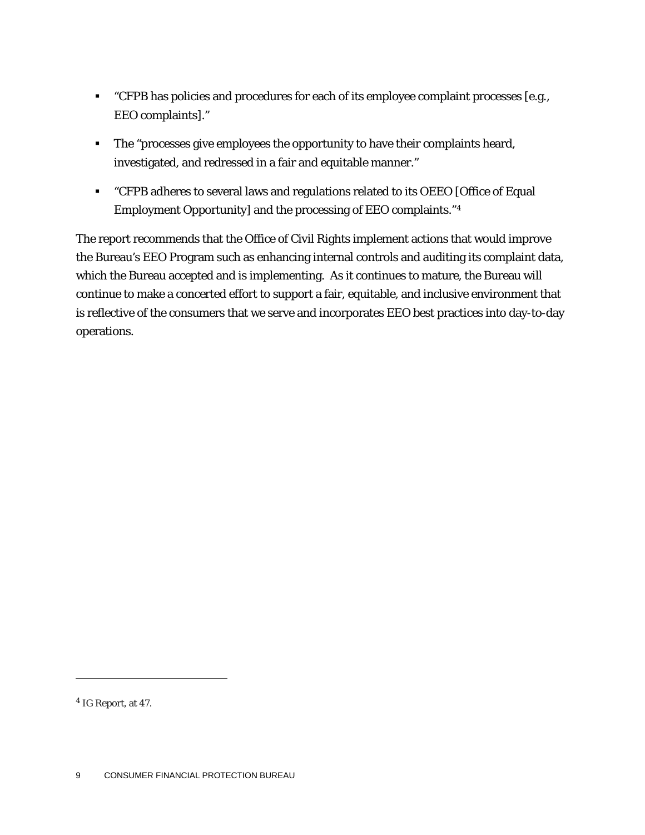- "CFPB has policies and procedures for each of its employee complaint processes [e.g., EEO complaints]."
- **The "processes give employees the opportunity to have their complaints heard,** investigated, and redressed in a fair and equitable manner."
- "CFPB adheres to several laws and regulations related to its OEEO [Office of Equal Employment Opportunity] and the processing of EEO complaints."[4](#page-9-0)

The report recommends that the Office of Civil Rights implement actions that would improve the Bureau's EEO Program such as enhancing internal controls and auditing its complaint data, which the Bureau accepted and is implementing. As it continues to mature, the Bureau will continue to make a concerted effort to support a fair, equitable, and inclusive environment that is reflective of the consumers that we serve and incorporates EEO best practices into day-to-day operations.

1

<span id="page-9-0"></span><sup>4</sup> IG Report, at 47.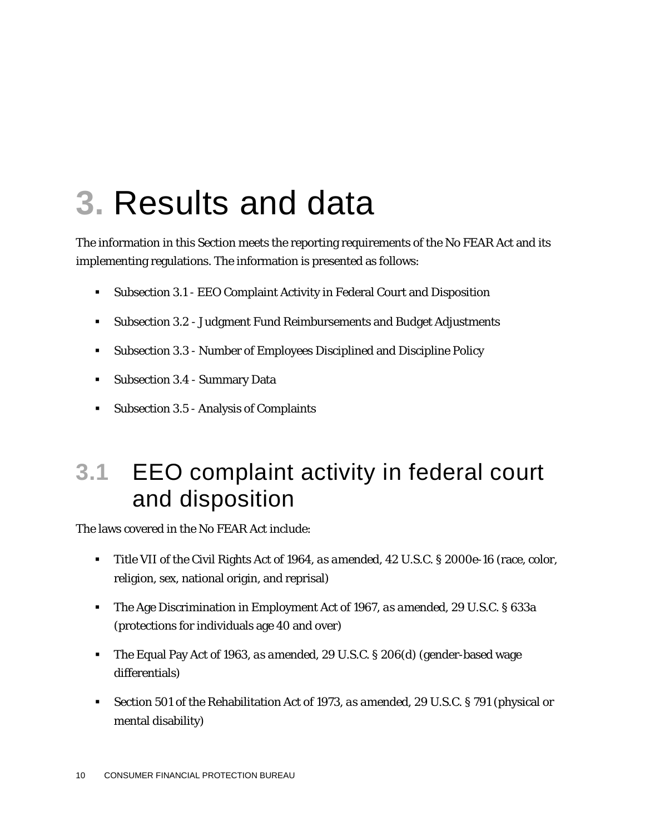## **3.** Results and data

The information in this Section meets the reporting requirements of the No FEAR Act and its implementing regulations. The information is presented as follows:

- Subsection 3.1 EEO Complaint Activity in Federal Court and Disposition
- Subsection 3.2 Judgment Fund Reimbursements and Budget Adjustments
- Subsection 3.3 Number of Employees Disciplined and Discipline Policy
- **Subsection 3.4 Summary Data**
- Subsection 3.5 Analysis of Complaints

## **3.1** EEO complaint activity in federal court and disposition

The laws covered in the No FEAR Act include:

- Title VII of the Civil Rights Act of 1964, *as amended*, 42 U.S.C. § 2000e-16 (race, color, religion, sex, national origin, and reprisal)
- The Age Discrimination in Employment Act of 1967, *as amended*, 29 U.S.C. § 633a (protections for individuals age 40 and over)
- The Equal Pay Act of 1963, *as amended*, 29 U.S.C. § 206(d) (gender-based wage differentials)
- Section 501 of the Rehabilitation Act of 1973, *as amended*, 29 U.S.C. § 791 (physical or mental disability)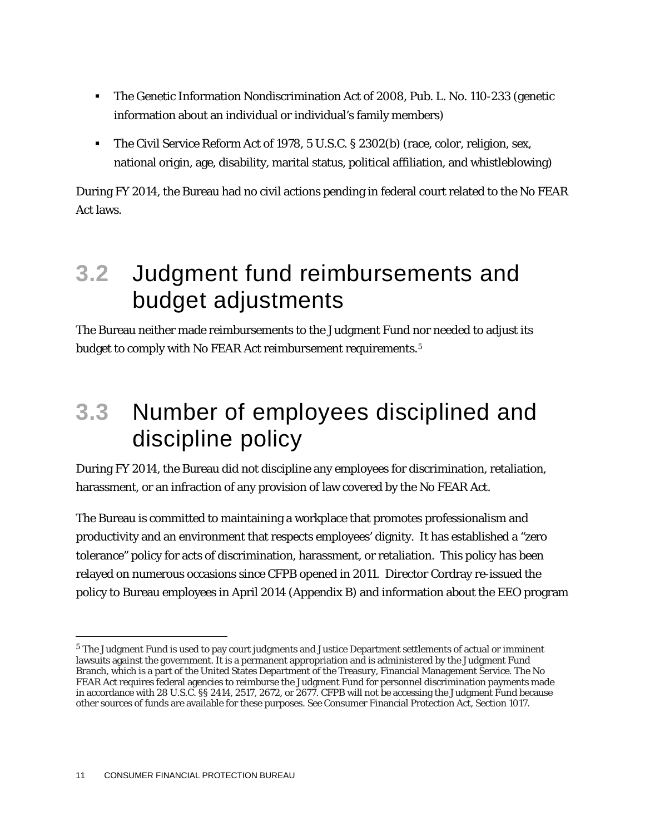- The Genetic Information Nondiscrimination Act of 2008, Pub. L. No. 110-233 (genetic information about an individual or individual's family members)
- The Civil Service Reform Act of 1978, 5 U.S.C. § 2302(b) (race, color, religion, sex, national origin, age, disability, marital status, political affiliation, and whistleblowing)

During FY 2014, the Bureau had no civil actions pending in federal court related to the No FEAR Act laws.

## **3.2** Judgment fund reimbursements and budget adjustments

The Bureau neither made reimbursements to the Judgment Fund nor needed to adjust its budget to comply with No FEAR Act reimbursement requirements.[5](#page-11-0)

## **3.3** Number of employees disciplined and discipline policy

During FY 2014, the Bureau did not discipline any employees for discrimination, retaliation, harassment, or an infraction of any provision of law covered by the No FEAR Act.

The Bureau is committed to maintaining a workplace that promotes professionalism and productivity and an environment that respects employees' dignity. It has established a "zero tolerance" policy for acts of discrimination, harassment, or retaliation. This policy has been relayed on numerous occasions since CFPB opened in 2011. Director Cordray re-issued the policy to Bureau employees in April 2014 (Appendix B) and information about the EEO program

<span id="page-11-0"></span> <sup>5</sup> The Judgment Fund is used to pay court judgments and Justice Department settlements of actual or imminent lawsuits against the government. It is a permanent appropriation and is administered by the Judgment Fund Branch, which is a part of the United States Department of the Treasury, Financial Management Service. The No FEAR Act requires federal agencies to reimburse the Judgment Fund for personnel discrimination payments made in accordance with 28 U.S.C. §§ 2414, 2517, 2672, or 2677. CFPB will not be accessing the Judgment Fund because other sources of funds are available for these purposes. *See* Consumer Financial Protection Act, Section 1017.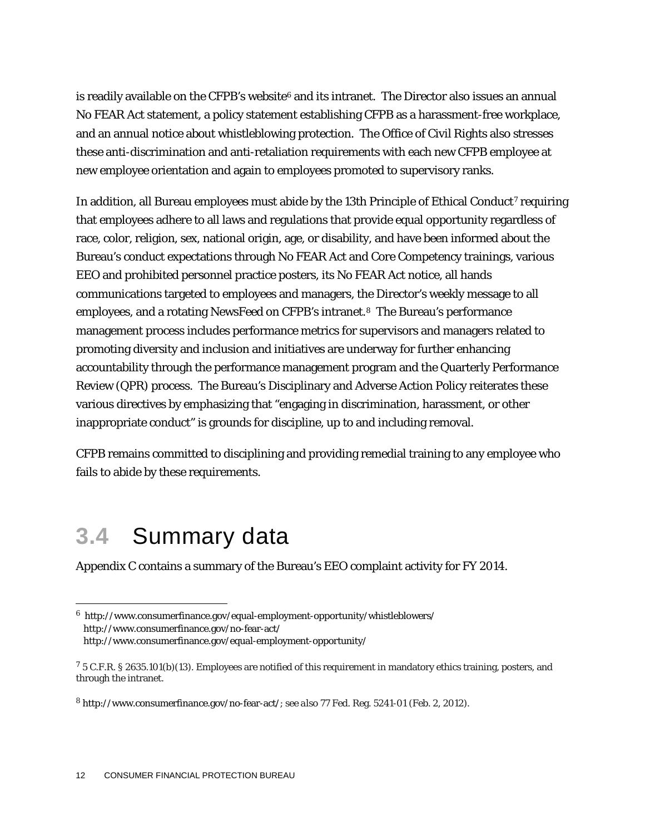is readily available on the CFPB's website $6$  and its intranet. The Director also issues an annual No FEAR Act statement, a policy statement establishing CFPB as a harassment-free workplace, and an annual notice about whistleblowing protection. The Office of Civil Rights also stresses these anti-discrimination and anti-retaliation requirements with each new CFPB employee at new employee orientation and again to employees promoted to supervisory ranks.

In addition, all Bureau employees must abide by the 13th Principle of Ethical Conduct<sup>[7](#page-12-1)</sup> requiring that employees adhere to all laws and regulations that provide equal opportunity regardless of race, color, religion, sex, national origin, age, or disability, and have been informed about the Bureau's conduct expectations through No FEAR Act and Core Competency trainings, various EEO and prohibited personnel practice posters, its No FEAR Act notice, all hands communications targeted to employees and managers, the Director's weekly message to all employees, and a rotating NewsFeed on CFPB's intranet.<sup>8</sup> The Bureau's performance management process includes performance metrics for supervisors and managers related to promoting diversity and inclusion and initiatives are underway for further enhancing accountability through the performance management program and the Quarterly Performance Review (QPR) process. The Bureau's Disciplinary and Adverse Action Policy reiterates these various directives by emphasizing that "engaging in discrimination, harassment, or other inappropriate conduct" is grounds for discipline, up to and including removal.

CFPB remains committed to disciplining and providing remedial training to any employee who fails to abide by these requirements.

### **3.4** Summary data

Appendix C contains a summary of the Bureau's EEO complaint activity for FY 2014.

<span id="page-12-0"></span> <sup>6</sup><http://www.consumerfinance.gov/equal-employment-opportunity/whistleblowers/> <http://www.consumerfinance.gov/no-fear-act/>

<http://www.consumerfinance.gov/equal-employment-opportunity/>

<span id="page-12-1"></span><sup>7</sup> 5 C.F.R. § 2635.101(b)(13). Employees are notified of this requirement in mandatory ethics training, posters, and through the intranet.

<span id="page-12-2"></span><sup>8</sup> [http://www.consumerfinance.gov/no-fear-act/;](http://www.consumerfinance.gov/no-fear-act/) *see also* 77 Fed. Reg. 5241-01 (Feb. 2, 2012).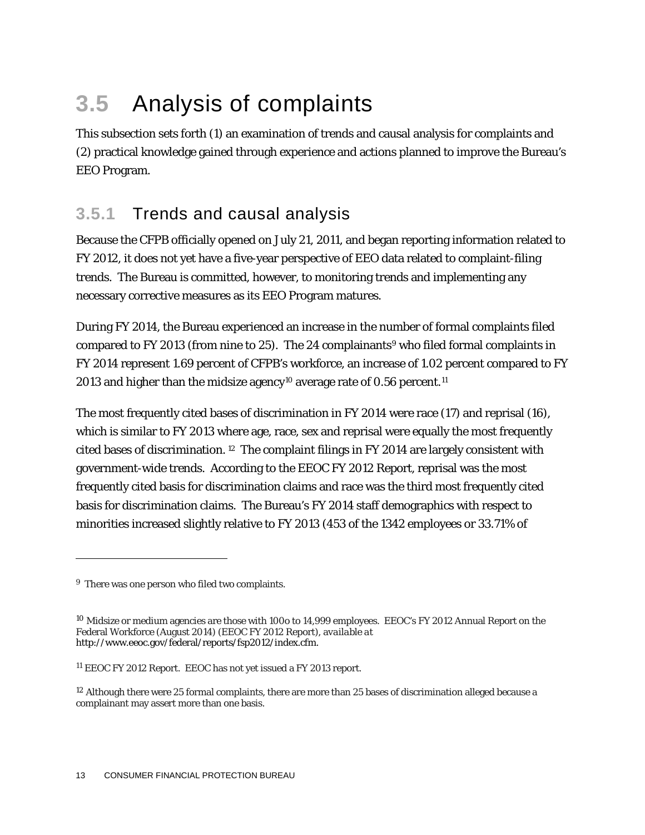## **3.5** Analysis of complaints

This subsection sets forth (1) an examination of trends and causal analysis for complaints and (2) practical knowledge gained through experience and actions planned to improve the Bureau's EEO Program.

### **3.5.1** Trends and causal analysis

Because the CFPB officially opened on July 21, 2011, and began reporting information related to FY 2012, it does not yet have a five-year perspective of EEO data related to complaint-filing trends. The Bureau is committed, however, to monitoring trends and implementing any necessary corrective measures as its EEO Program matures.

During FY 2014, the Bureau experienced an increase in the number of formal complaints filed compared to FY 2013 (from nine to 25). The 24 complainants<sup>[9](#page-13-0)</sup> who filed formal complaints in FY 2014 represent 1.69 percent of CFPB's workforce, an increase of 1.02 percent compared to FY 2013 and higher than the midsize agency<sup>10</sup> average rate of 0.56 percent.<sup>[11](#page-13-2)</sup>

The most frequently cited bases of discrimination in FY 2014 were race (17) and reprisal (16), which is similar to FY 2013 where age, race, sex and reprisal were equally the most frequently cited bases of discrimination. [12](#page-13-3) The complaint filings in FY 2014 are largely consistent with government-wide trends. According to the EEOC FY 2012 Report, reprisal was the most frequently cited basis for discrimination claims and race was the third most frequently cited basis for discrimination claims. The Bureau's FY 2014 staff demographics with respect to minorities increased slightly relative to FY 2013 (453 of the 1342 employees or 33.71% of

 $\overline{a}$ 

<span id="page-13-0"></span><sup>&</sup>lt;sup>9</sup> There was one person who filed two complaints.

<span id="page-13-1"></span><sup>10</sup> Midsize or medium agencies are those with 100o to 14,999 employees. EEOC's FY 2012 Annual Report on the Federal Workforce (August 2014) (EEOC FY 2012 Report), a*vailable at*  [http://www.eeoc.gov/federal/reports/fsp2012/index.cfm.](http://www.eeoc.gov/federal/reports/fsp2012/index.cfm)

<span id="page-13-2"></span><sup>11</sup> EEOC FY 2012 Report. EEOC has not yet issued a FY 2013 report.

<span id="page-13-3"></span><sup>&</sup>lt;sup>12</sup> Although there were 25 formal complaints, there are more than 25 bases of discrimination alleged because a complainant may assert more than one basis.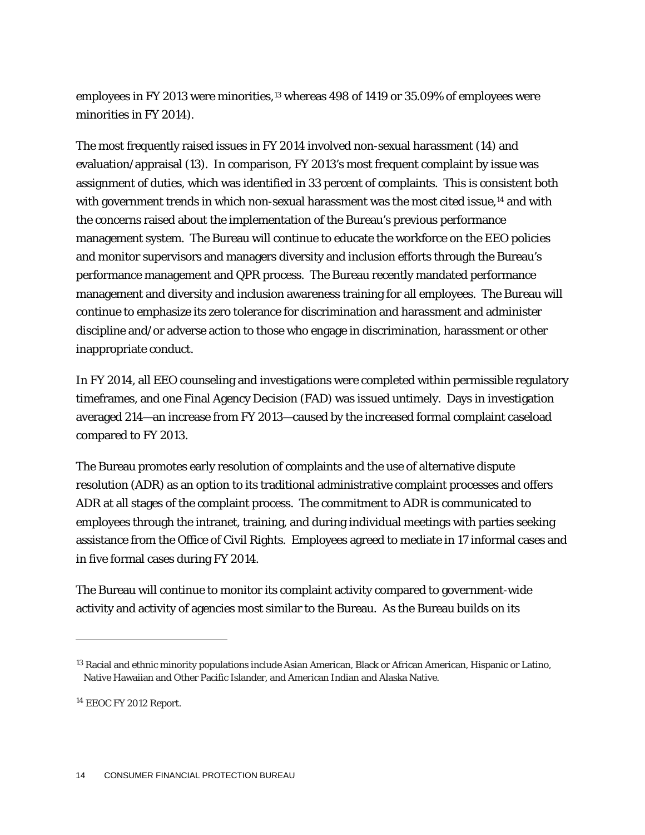employees in FY 20[13](#page-14-0) were minorities,<sup>13</sup> whereas 498 of 1419 or 35.09% of employees were minorities in FY 2014).

The most frequently raised issues in FY 2014 involved non-sexual harassment (14) and evaluation/appraisal (13). In comparison, FY 2013's most frequent complaint by issue was assignment of duties, which was identified in 33 percent of complaints. This is consistent both with government trends in which non-sexual harassment was the most cited issue,<sup>14</sup> and with the concerns raised about the implementation of the Bureau's previous performance management system. The Bureau will continue to educate the workforce on the EEO policies and monitor supervisors and managers diversity and inclusion efforts through the Bureau's performance management and QPR process. The Bureau recently mandated performance management and diversity and inclusion awareness training for all employees. The Bureau will continue to emphasize its zero tolerance for discrimination and harassment and administer discipline and/or adverse action to those who engage in discrimination, harassment or other inappropriate conduct.

In FY 2014, all EEO counseling and investigations were completed within permissible regulatory timeframes, and one Final Agency Decision (FAD) was issued untimely. Days in investigation averaged 214—an increase from FY 2013—caused by the increased formal complaint caseload compared to FY 2013.

The Bureau promotes early resolution of complaints and the use of alternative dispute resolution (ADR) as an option to its traditional administrative complaint processes and offers ADR at all stages of the complaint process. The commitment to ADR is communicated to employees through the intranet, training, and during individual meetings with parties seeking assistance from the Office of Civil Rights. Employees agreed to mediate in 17 informal cases and in five formal cases during FY 2014.

The Bureau will continue to monitor its complaint activity compared to government-wide activity and activity of agencies most similar to the Bureau. As the Bureau builds on its

1

<span id="page-14-0"></span><sup>&</sup>lt;sup>13</sup> Racial and ethnic minority populations include Asian American, Black or African American, Hispanic or Latino, Native Hawaiian and Other Pacific Islander, and American Indian and Alaska Native.

<span id="page-14-1"></span><sup>14</sup> EEOC FY 2012 Report.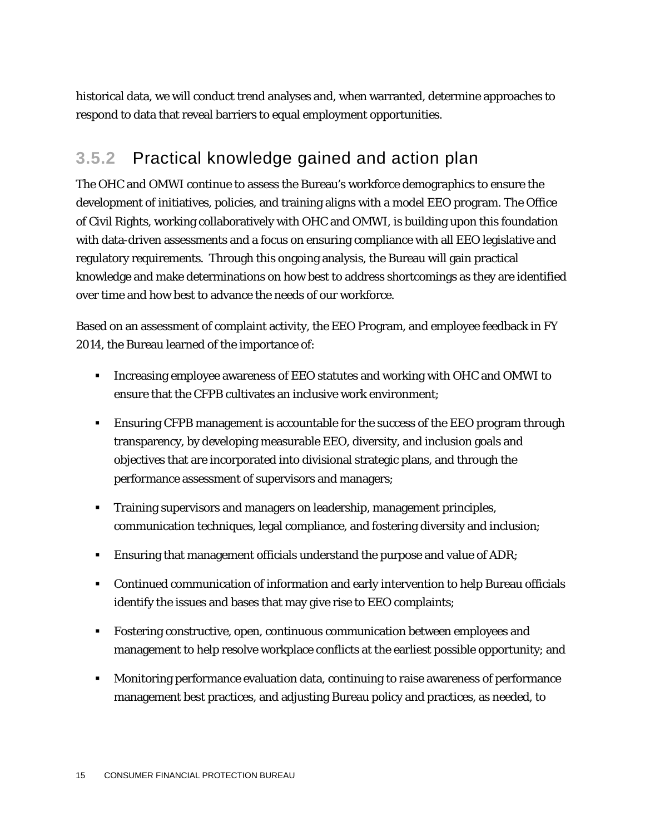historical data, we will conduct trend analyses and, when warranted, determine approaches to respond to data that reveal barriers to equal employment opportunities.

### **3.5.2** Practical knowledge gained and action plan

The OHC and OMWI continue to assess the Bureau's workforce demographics to ensure the development of initiatives, policies, and training aligns with a model EEO program. The Office of Civil Rights, working collaboratively with OHC and OMWI, is building upon this foundation with data-driven assessments and a focus on ensuring compliance with all EEO legislative and regulatory requirements. Through this ongoing analysis, the Bureau will gain practical knowledge and make determinations on how best to address shortcomings as they are identified over time and how best to advance the needs of our workforce.

Based on an assessment of complaint activity, the EEO Program, and employee feedback in FY 2014, the Bureau learned of the importance of:

- Increasing employee awareness of EEO statutes and working with OHC and OMWI to ensure that the CFPB cultivates an inclusive work environment;
- Ensuring CFPB management is accountable for the success of the EEO program through transparency, by developing measurable EEO, diversity, and inclusion goals and objectives that are incorporated into divisional strategic plans, and through the performance assessment of supervisors and managers;
- Training supervisors and managers on leadership, management principles, communication techniques, legal compliance, and fostering diversity and inclusion;
- **Ensuring that management officials understand the purpose and value of ADR;**
- **Continued communication of information and early intervention to help Bureau officials** identify the issues and bases that may give rise to EEO complaints;
- Fostering constructive, open, continuous communication between employees and management to help resolve workplace conflicts at the earliest possible opportunity; and
- Monitoring performance evaluation data, continuing to raise awareness of performance management best practices, and adjusting Bureau policy and practices, as needed, to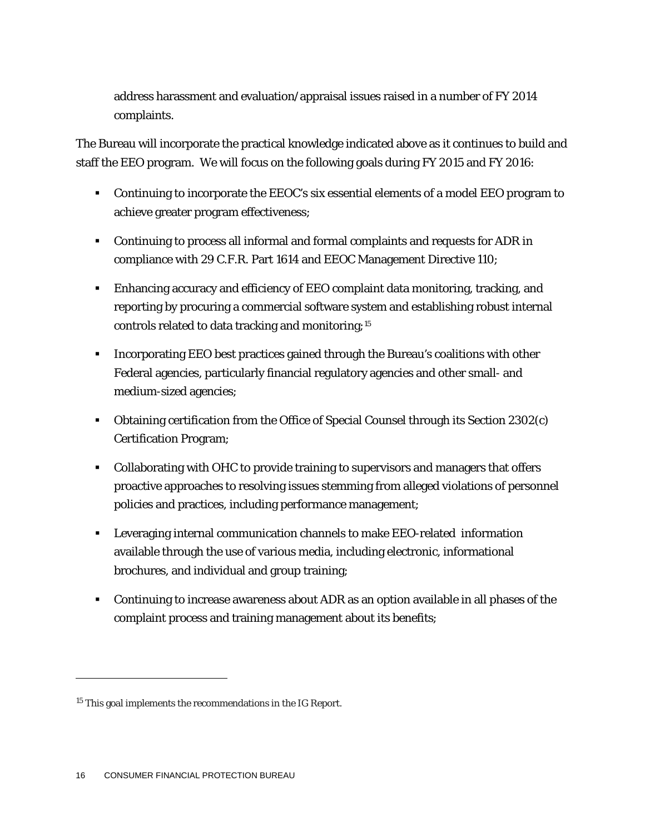address harassment and evaluation/appraisal issues raised in a number of FY 2014 complaints.

The Bureau will incorporate the practical knowledge indicated above as it continues to build and staff the EEO program. We will focus on the following goals during FY 2015 and FY 2016:

- Continuing to incorporate the EEOC's six essential elements of a model EEO program to achieve greater program effectiveness;
- Continuing to process all informal and formal complaints and requests for ADR in compliance with 29 C.F.R. Part 1614 and EEOC Management Directive 110;
- Enhancing accuracy and efficiency of EEO complaint data monitoring, tracking, and reporting by procuring a commercial software system and establishing robust internal controls related to data tracking and monitoring;[15](#page-16-0)
- Incorporating EEO best practices gained through the Bureau's coalitions with other Federal agencies, particularly financial regulatory agencies and other small- and medium-sized agencies;
- Obtaining certification from the Office of Special Counsel through its Section 2302(c) Certification Program;
- Collaborating with OHC to provide training to supervisors and managers that offers proactive approaches to resolving issues stemming from alleged violations of personnel policies and practices, including performance management;
- Leveraging internal communication channels to make EEO-related information available through the use of various media, including electronic, informational brochures, and individual and group training;
- Continuing to increase awareness about ADR as an option available in all phases of the complaint process and training management about its benefits;

1

<span id="page-16-0"></span><sup>15</sup> This goal implements the recommendations in the IG Report.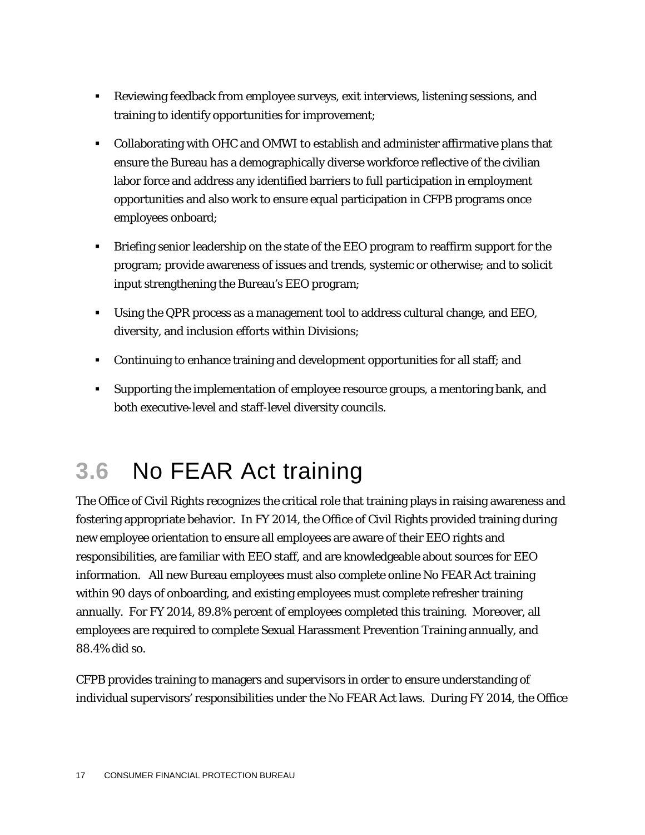- Reviewing feedback from employee surveys, exit interviews, listening sessions, and training to identify opportunities for improvement;
- Collaborating with OHC and OMWI to establish and administer affirmative plans that ensure the Bureau has a demographically diverse workforce reflective of the civilian labor force and address any identified barriers to full participation in employment opportunities and also work to ensure equal participation in CFPB programs once employees onboard;
- Briefing senior leadership on the state of the EEO program to reaffirm support for the program; provide awareness of issues and trends, systemic or otherwise; and to solicit input strengthening the Bureau's EEO program;
- Using the QPR process as a management tool to address cultural change, and EEO, diversity, and inclusion efforts within Divisions;
- Continuing to enhance training and development opportunities for all staff; and
- Supporting the implementation of employee resource groups, a mentoring bank, and both executive-level and staff-level diversity councils.

## **3.6** No FEAR Act training

The Office of Civil Rights recognizes the critical role that training plays in raising awareness and fostering appropriate behavior. In FY 2014, the Office of Civil Rights provided training during new employee orientation to ensure all employees are aware of their EEO rights and responsibilities, are familiar with EEO staff, and are knowledgeable about sources for EEO information. All new Bureau employees must also complete online No FEAR Act training within 90 days of onboarding, and existing employees must complete refresher training annually. For FY 2014, 89.8% percent of employees completed this training. Moreover, all employees are required to complete Sexual Harassment Prevention Training annually, and 88.4% did so.

CFPB provides training to managers and supervisors in order to ensure understanding of individual supervisors' responsibilities under the No FEAR Act laws. During FY 2014, the Office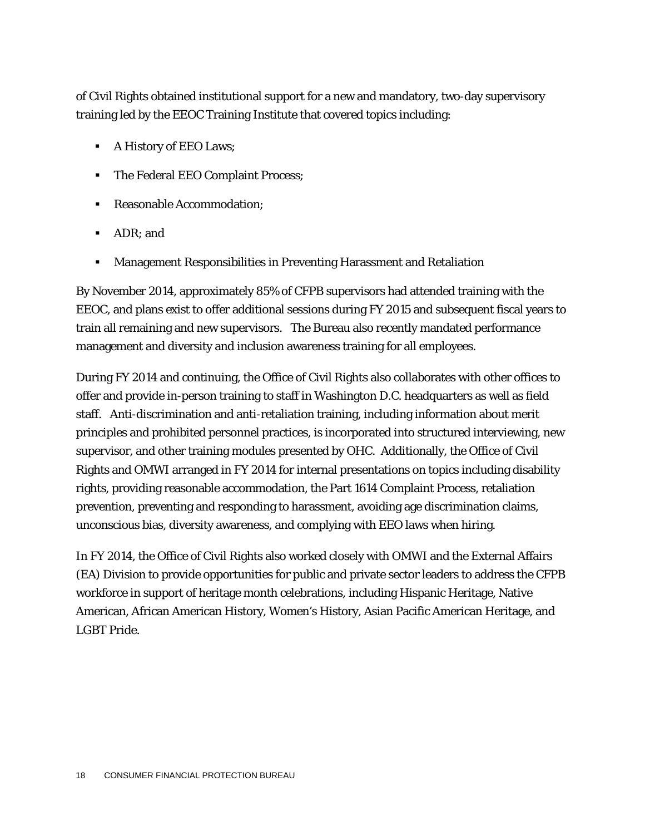of Civil Rights obtained institutional support for a new and mandatory, two-day supervisory training led by the EEOC Training Institute that covered topics including:

- A History of EEO Laws;
- The Federal EEO Complaint Process;
- Reasonable Accommodation:
- ADR: and
- Management Responsibilities in Preventing Harassment and Retaliation

By November 2014, approximately 85% of CFPB supervisors had attended training with the EEOC, and plans exist to offer additional sessions during FY 2015 and subsequent fiscal years to train all remaining and new supervisors. The Bureau also recently mandated performance management and diversity and inclusion awareness training for all employees.

During FY 2014 and continuing, the Office of Civil Rights also collaborates with other offices to offer and provide in-person training to staff in Washington D.C. headquarters as well as field staff. Anti-discrimination and anti-retaliation training, including information about merit principles and prohibited personnel practices, is incorporated into structured interviewing, new supervisor, and other training modules presented by OHC. Additionally, the Office of Civil Rights and OMWI arranged in FY 2014 for internal presentations on topics including disability rights, providing reasonable accommodation, the Part 1614 Complaint Process, retaliation prevention, preventing and responding to harassment, avoiding age discrimination claims, unconscious bias, diversity awareness, and complying with EEO laws when hiring.

In FY 2014, the Office of Civil Rights also worked closely with OMWI and the External Affairs (EA) Division to provide opportunities for public and private sector leaders to address the CFPB workforce in support of heritage month celebrations, including Hispanic Heritage, Native American, African American History, Women's History, Asian Pacific American Heritage, and LGBT Pride.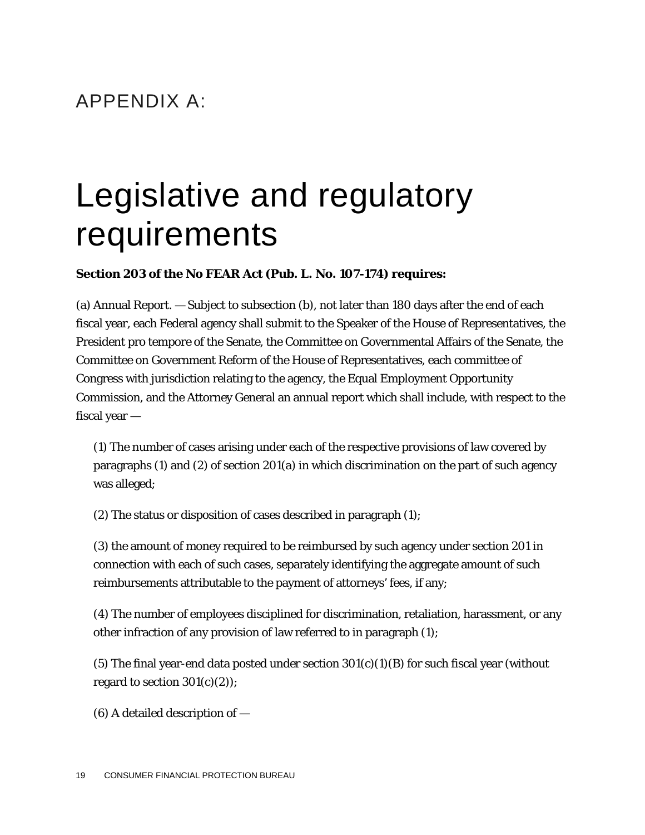### APPENDIX A:

# Legislative and regulatory requirements

#### **Section 203 of the No FEAR Act (Pub. L. No. 107-174) requires:**

(a) Annual Report. — Subject to subsection (b), not later than 180 days after the end of each fiscal year, each Federal agency shall submit to the Speaker of the House of Representatives, the President pro tempore of the Senate, the Committee on Governmental Affairs of the Senate, the Committee on Government Reform of the House of Representatives, each committee of Congress with jurisdiction relating to the agency, the Equal Employment Opportunity Commission, and the Attorney General an annual report which shall include, with respect to the fiscal year —

(1) The number of cases arising under each of the respective provisions of law covered by paragraphs (1) and (2) of section 201(a) in which discrimination on the part of such agency was alleged;

(2) The status or disposition of cases described in paragraph (1);

(3) the amount of money required to be reimbursed by such agency under section 201 in connection with each of such cases, separately identifying the aggregate amount of such reimbursements attributable to the payment of attorneys' fees, if any;

(4) The number of employees disciplined for discrimination, retaliation, harassment, or any other infraction of any provision of law referred to in paragraph (1);

(5) The final year-end data posted under section  $301(c)(1)(B)$  for such fiscal year (without regard to section  $301(c)(2)$ ;

(6) A detailed description of —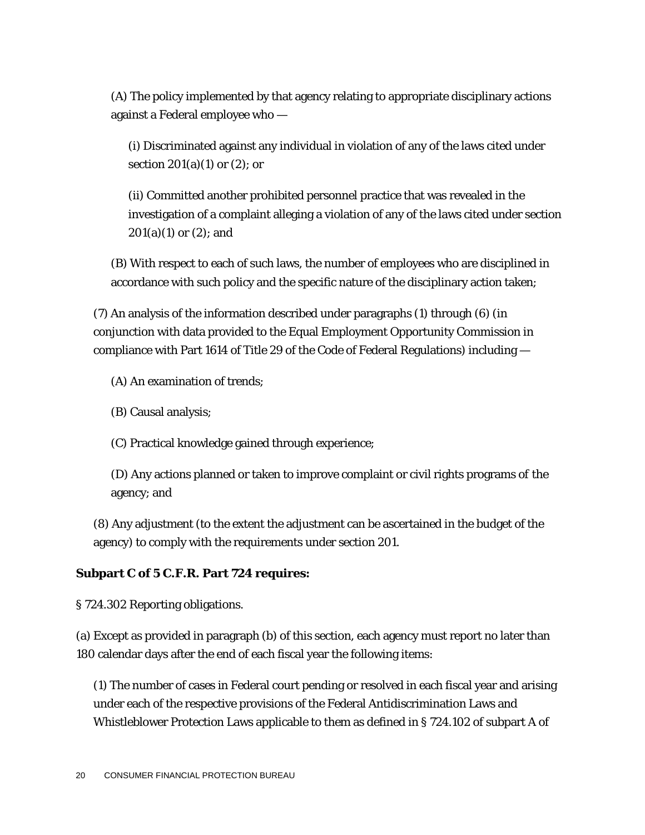(A) The policy implemented by that agency relating to appropriate disciplinary actions against a Federal employee who —

(i) Discriminated against any individual in violation of any of the laws cited under section  $201(a)(1)$  or  $(2)$ ; or

(ii) Committed another prohibited personnel practice that was revealed in the investigation of a complaint alleging a violation of any of the laws cited under section 201(a)(1) or (2); and

(B) With respect to each of such laws, the number of employees who are disciplined in accordance with such policy and the specific nature of the disciplinary action taken;

(7) An analysis of the information described under paragraphs (1) through (6) (in conjunction with data provided to the Equal Employment Opportunity Commission in compliance with Part 1614 of Title 29 of the Code of Federal Regulations) including —

(A) An examination of trends;

(B) Causal analysis;

(C) Practical knowledge gained through experience;

(D) Any actions planned or taken to improve complaint or civil rights programs of the agency; and

(8) Any adjustment (to the extent the adjustment can be ascertained in the budget of the agency) to comply with the requirements under section 201.

#### **Subpart C of 5 C.F.R. Part 724 requires:**

§ 724.302 Reporting obligations.

(a) Except as provided in paragraph (b) of this section, each agency must report no later than 180 calendar days after the end of each fiscal year the following items:

(1) The number of cases in Federal court pending or resolved in each fiscal year and arising under each of the respective provisions of the Federal Antidiscrimination Laws and Whistleblower Protection Laws applicable to them as defined in § 724.102 of subpart A of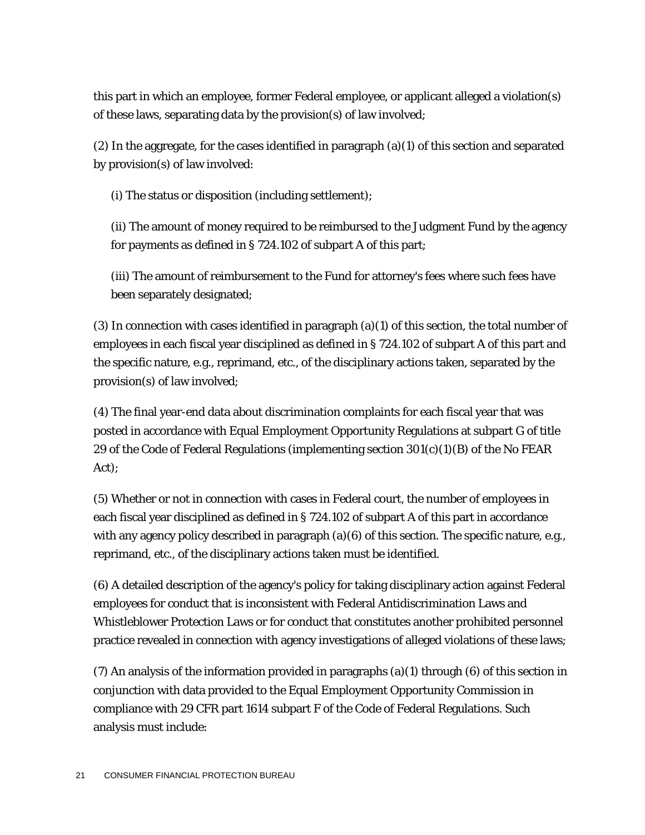this part in which an employee, former Federal employee, or applicant alleged a violation(s) of these laws, separating data by the provision(s) of law involved;

(2) In the aggregate, for the cases identified in paragraph (a)(1) of this section and separated by provision(s) of law involved:

(i) The status or disposition (including settlement);

(ii) The amount of money required to be reimbursed to the Judgment Fund by the agency for payments as defined in § 724.102 of subpart A of this part;

(iii) The amount of reimbursement to the Fund for attorney's fees where such fees have been separately designated;

(3) In connection with cases identified in paragraph (a)(1) of this section, the total number of employees in each fiscal year disciplined as defined in § 724.102 of subpart A of this part and the specific nature, e.g., reprimand, etc., of the disciplinary actions taken, separated by the provision(s) of law involved;

(4) The final year-end data about discrimination complaints for each fiscal year that was posted in accordance with Equal Employment Opportunity Regulations at subpart G of title 29 of the Code of Federal Regulations (implementing section  $301(c)(1)(B)$  of the No FEAR Act);

(5) Whether or not in connection with cases in Federal court, the number of employees in each fiscal year disciplined as defined in § 724.102 of subpart A of this part in accordance with any agency policy described in paragraph (a)(6) of this section. The specific nature, e.g., reprimand, etc., of the disciplinary actions taken must be identified.

(6) A detailed description of the agency's policy for taking disciplinary action against Federal employees for conduct that is inconsistent with Federal Antidiscrimination Laws and Whistleblower Protection Laws or for conduct that constitutes another prohibited personnel practice revealed in connection with agency investigations of alleged violations of these laws;

(7) An analysis of the information provided in paragraphs (a)(1) through (6) of this section in conjunction with data provided to the Equal Employment Opportunity Commission in compliance with 29 CFR part 1614 subpart F of the Code of Federal Regulations. Such analysis must include: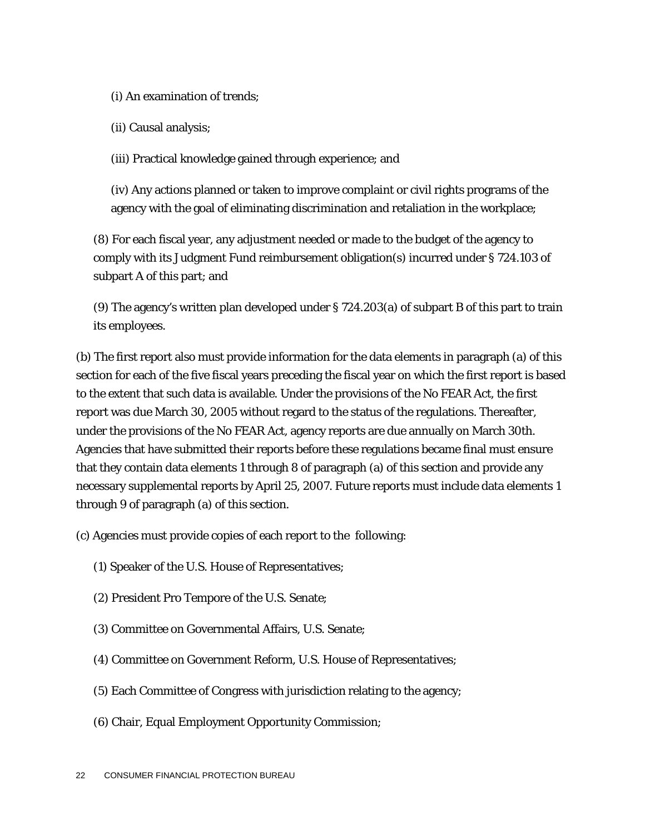(i) An examination of trends;

(ii) Causal analysis;

(iii) Practical knowledge gained through experience; and

(iv) Any actions planned or taken to improve complaint or civil rights programs of the agency with the goal of eliminating discrimination and retaliation in the workplace;

(8) For each fiscal year, any adjustment needed or made to the budget of the agency to comply with its Judgment Fund reimbursement obligation(s) incurred under § 724.103 of subpart A of this part; and

(9) The agency's written plan developed under § 724.203(a) of subpart B of this part to train its employees.

(b) The first report also must provide information for the data elements in paragraph (a) of this section for each of the five fiscal years preceding the fiscal year on which the first report is based to the extent that such data is available. Under the provisions of the No FEAR Act, the first report was due March 30, 2005 without regard to the status of the regulations. Thereafter, under the provisions of the No FEAR Act, agency reports are due annually on March 30th. Agencies that have submitted their reports before these regulations became final must ensure that they contain data elements 1 through 8 of paragraph (a) of this section and provide any necessary supplemental reports by April 25, 2007. Future reports must include data elements 1 through 9 of paragraph (a) of this section.

(c) Agencies must provide copies of each report to the following:

- (1) Speaker of the U.S. House of Representatives;
- (2) President Pro Tempore of the U.S. Senate;
- (3) Committee on Governmental Affairs, U.S. Senate;
- (4) Committee on Government Reform, U.S. House of Representatives;
- (5) Each Committee of Congress with jurisdiction relating to the agency;
- (6) Chair, Equal Employment Opportunity Commission;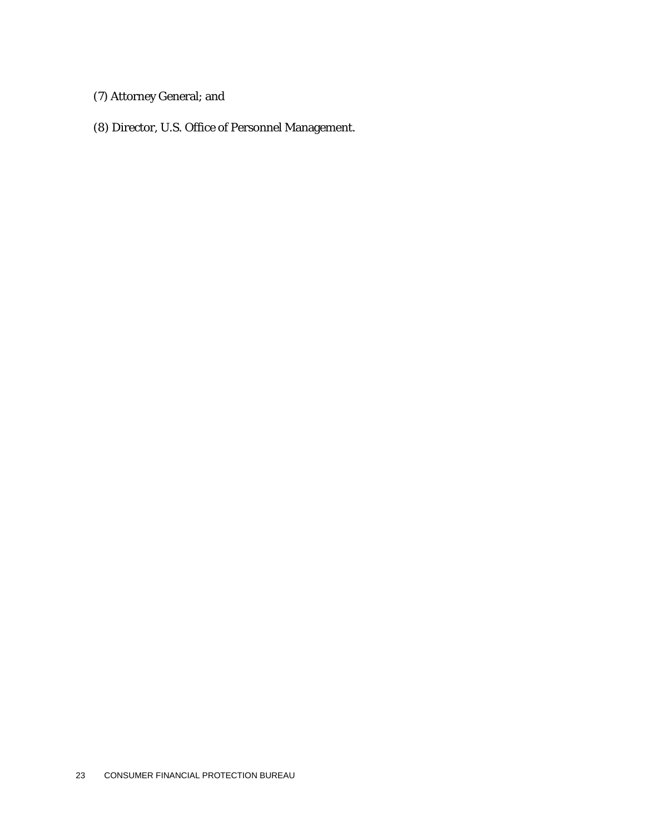- (7) Attorney General; and
- (8) Director, U.S. Office of Personnel Management.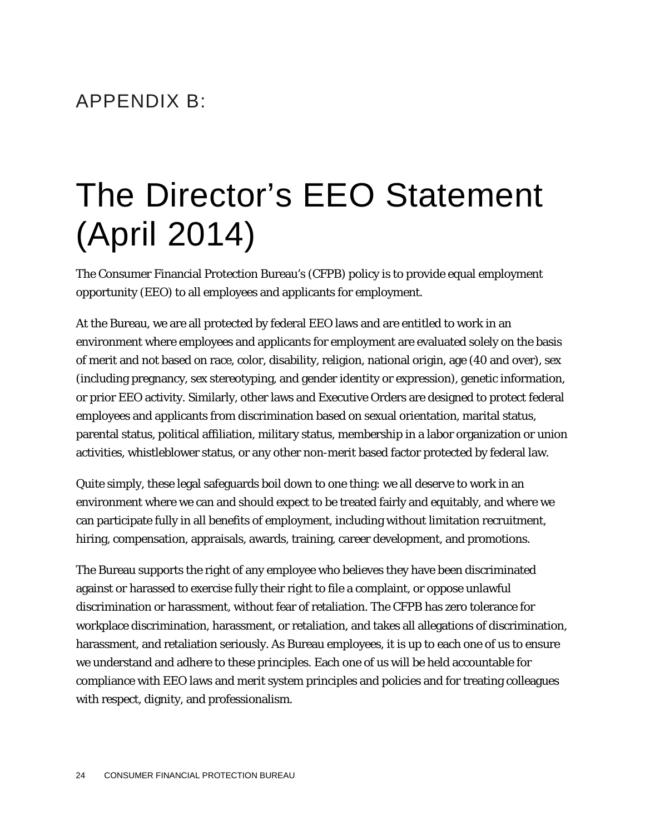### APPENDIX B:

# The Director's EEO Statement (April 2014)

The Consumer Financial Protection Bureau's (CFPB) policy is to provide equal employment opportunity (EEO) to all employees and applicants for employment.

At the Bureau, we are all protected by federal EEO laws and are entitled to work in an environment where employees and applicants for employment are evaluated solely on the basis of merit and not based on race, color, disability, religion, national origin, age (40 and over), sex (including pregnancy, sex stereotyping, and gender identity or expression), genetic information, or prior EEO activity. Similarly, other laws and Executive Orders are designed to protect federal employees and applicants from discrimination based on sexual orientation, marital status, parental status, political affiliation, military status, membership in a labor organization or union activities, whistleblower status, or any other non-merit based factor protected by federal law.

Quite simply, these legal safeguards boil down to one thing: we all deserve to work in an environment where we can and should expect to be treated fairly and equitably, and where we can participate fully in all benefits of employment, including without limitation recruitment, hiring, compensation, appraisals, awards, training, career development, and promotions.

The Bureau supports the right of any employee who believes they have been discriminated against or harassed to exercise fully their right to file a complaint, or oppose unlawful discrimination or harassment, without fear of retaliation. The CFPB has zero tolerance for workplace discrimination, harassment, or retaliation, and takes all allegations of discrimination, harassment, and retaliation seriously. As Bureau employees, it is up to each one of us to ensure we understand and adhere to these principles. Each one of us will be held accountable for compliance with EEO laws and merit system principles and policies and for treating colleagues with respect, dignity, and professionalism.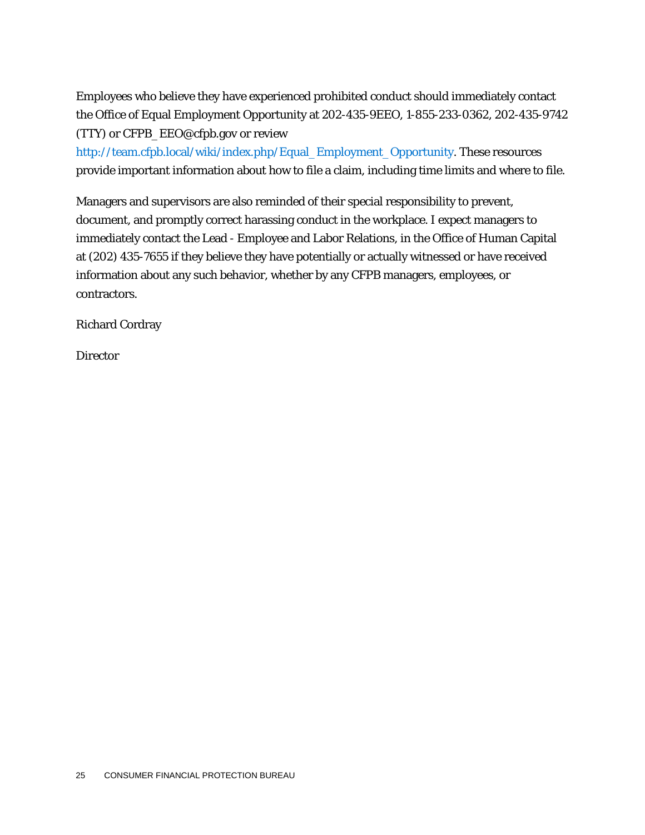Employees who believe they have experienced prohibited conduct should immediately contact the Office of Equal Employment Opportunity at 202-435-9EEO, 1-855-233-0362, 202-435-9742 (TTY) or CFPB\_EEO@cfpb.gov or review

[http://team.cfpb.local/wiki/index.php/Equal\\_Employment\\_Opportunity.](http://team.cfpb.local/wiki/index.php/Equal_Employment_Opportunity) These resources provide important information about how to file a claim, including time limits and where to file.

Managers and supervisors are also reminded of their special responsibility to prevent, document, and promptly correct harassing conduct in the workplace. I expect managers to immediately contact the Lead - Employee and Labor Relations, in the Office of Human Capital at (202) 435-7655 if they believe they have potentially or actually witnessed or have received information about any such behavior, whether by any CFPB managers, employees, or contractors.

Richard Cordray

**Director**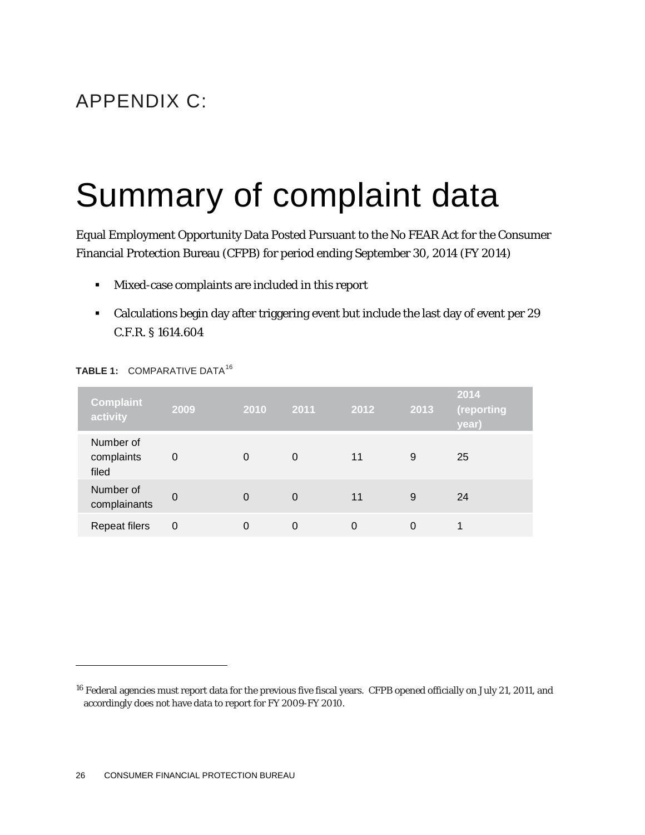### APPENDIX C:

# Summary of complaint data

Equal Employment Opportunity Data Posted Pursuant to the No FEAR Act for the Consumer Financial Protection Bureau (CFPB) for period ending September 30, 2014 (FY 2014)

- Mixed-case complaints are included in this report
- Calculations begin day after triggering event but include the last day of event per 29 C.F.R. § 1614.604

| <b>Complaint</b><br>activity     | 2009     | 2010 | 2011     | 2012 | 2013 | 2014<br>(reporting<br>year) |
|----------------------------------|----------|------|----------|------|------|-----------------------------|
| Number of<br>complaints<br>filed | 0        | 0    | 0        | 11   | 9    | 25                          |
| Number of<br>complainants        | $\Omega$ | 0    | $\Omega$ | 11   | 9    | 24                          |
| <b>Repeat filers</b>             | 0        | 0    | 0        |      | 0    |                             |

#### **TABLE 1: COMPARATIVE DATA<sup>[16](#page-26-0)</sup>**

1

<span id="page-26-0"></span><sup>&</sup>lt;sup>16</sup> Federal agencies must report data for the previous five fiscal years. CFPB opened officially on July 21, 2011, and accordingly does not have data to report for FY 2009-FY 2010.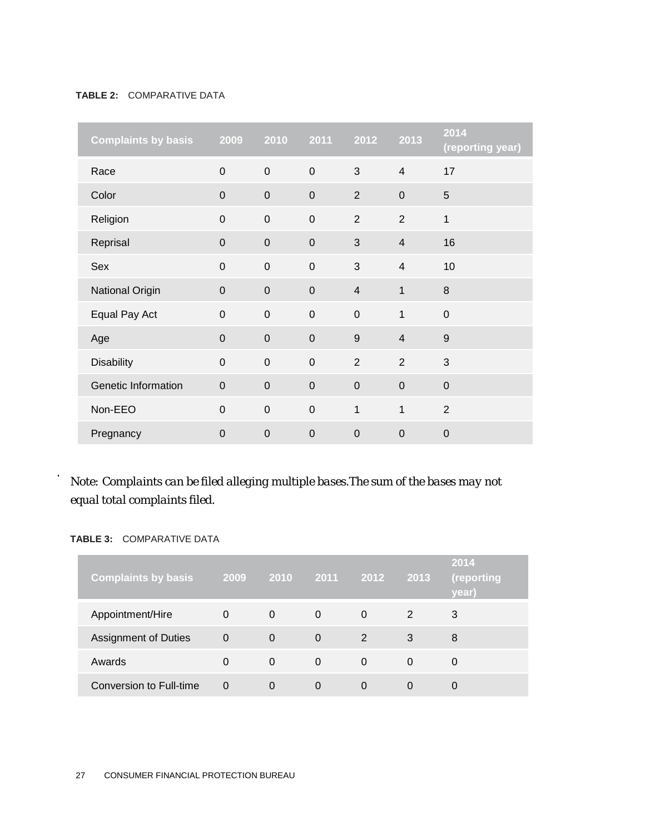#### **TABLE 2:** COMPARATIVE DATA

| <b>Complaints by basis 2009</b> |              | 2010           |                | 2011 2012        | 2013           | 2014<br>(reporting year) |
|---------------------------------|--------------|----------------|----------------|------------------|----------------|--------------------------|
| Race                            | $\mathbf{0}$ | $\overline{0}$ | $\overline{0}$ | 3                | $\overline{4}$ | 17                       |
| Color                           | $\mathbf{0}$ | $\overline{0}$ | $\overline{0}$ | $\overline{2}$   | $\overline{0}$ | 5                        |
| Religion                        | $\mathbf 0$  | $\mathbf 0$    | $\mathbf 0$    | $\overline{2}$   | $\overline{2}$ | 1                        |
| Reprisal                        | $\mathbf 0$  | $\mathbf 0$    | $\mathbf 0$    | 3                | $\overline{4}$ | 16                       |
| Sex                             | $\mathbf 0$  | $\mathbf 0$    | $\mathbf 0$    | 3                | $\overline{4}$ | 10                       |
| National Origin                 | $\mathbf{0}$ | $\mathbf 0$    | $\overline{0}$ | $\overline{4}$   | $\mathbf{1}$   | 8                        |
| Equal Pay Act                   | $\mathbf 0$  | $\overline{0}$ | $\mathbf 0$    | $\mathbf 0$      | $\mathbf{1}$   | $\mathbf 0$              |
| Age                             | $\mathbf 0$  | $\mathbf 0$    | $\mathbf 0$    | 9                | $\overline{4}$ | 9                        |
| <b>Disability</b>               | $\mathbf 0$  | $\mathbf 0$    | $\mathbf 0$    | $\overline{2}$   | $\overline{2}$ | 3                        |
| Genetic Information             | $\mathbf{0}$ | $\mathbf 0$    | $\mathbf{0}$   | $\overline{0}$   | $\mathbf 0$    | $\overline{0}$           |
| Non-EEO                         | $\mathbf 0$  | $\overline{0}$ | $\mathbf 0$    | 1                | $\mathbf{1}$   | 2                        |
| Pregnancy                       | $\mathbf 0$  | $\mathbf 0$    | $\pmb{0}$      | $\boldsymbol{0}$ | $\pmb{0}$      | $\overline{0}$           |

### *Note: Complaints can be filed alleging multiple bases.The sum of the bases may not equal total complaints filed.*

#### **TABLE 3:** COMPARATIVE DATA

 $\ddot{\phantom{0}}$ 

| <b>Complaints by basis</b>  | 2009           |          | 2010 2011 | 2012     | 2013 | 2014<br>(reporting<br>year) |
|-----------------------------|----------------|----------|-----------|----------|------|-----------------------------|
| Appointment/Hire            | $\Omega$       | 0        | $\Omega$  | $\Omega$ | 2    | 3                           |
| <b>Assignment of Duties</b> | $\overline{0}$ | 0        | 0         | 2        | 3    | 8                           |
| Awards                      | $\Omega$       | $\Omega$ | $\Omega$  | $\Omega$ | 0    | 0                           |
| Conversion to Full-time     | 0              | 0        | 0         | $\Omega$ | 0    | O                           |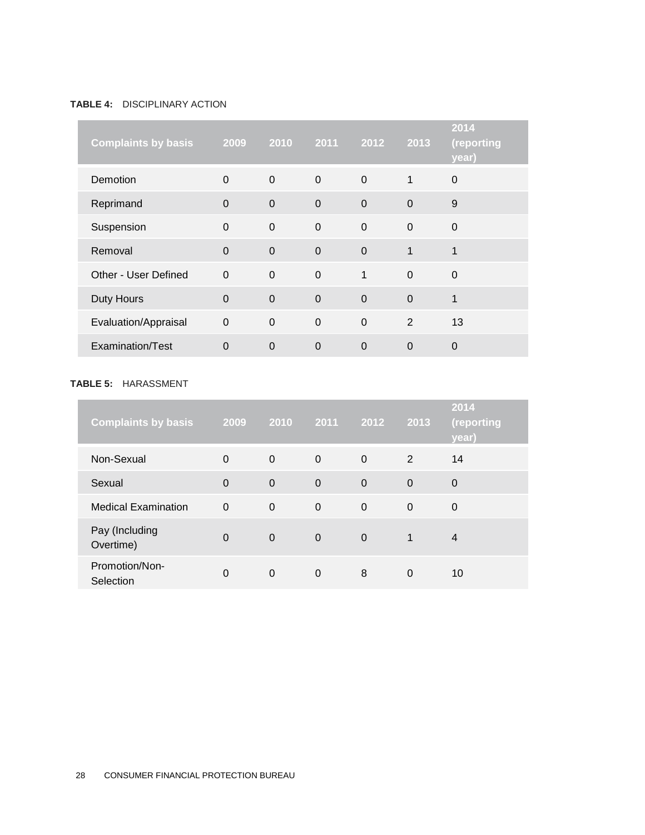#### **TABLE 4:** DISCIPLINARY ACTION

| <b>Complaints by basis</b> | 2009           | 2010           | $\overline{2011}$ | 2012        | 2013        | 2014<br>(reporting<br>year) |
|----------------------------|----------------|----------------|-------------------|-------------|-------------|-----------------------------|
| <b>Demotion</b>            | $\overline{0}$ | $\overline{0}$ | $\mathbf 0$       | $\mathbf 0$ | 1           | $\mathbf 0$                 |
| Reprimand                  | $\overline{0}$ | $\mathbf 0$    | $\Omega$          | $\Omega$    | $\Omega$    | 9                           |
| Suspension                 | $\mathbf 0$    | $\mathbf 0$    | $\mathbf 0$       | $\mathbf 0$ | $\mathbf 0$ | $\mathbf 0$                 |
| Removal                    | $\overline{0}$ | $\Omega$       | $\Omega$          | $\Omega$    | 1           | 1                           |
| Other - User Defined       | $\Omega$       | $\Omega$       | $\Omega$          | 1           | $\Omega$    | $\Omega$                    |
| Duty Hours                 | $\mathbf 0$    | $\mathbf 0$    | $\mathbf 0$       | $\mathbf 0$ | $\Omega$    | 1                           |
| Evaluation/Appraisal       | $\mathbf 0$    | $\mathbf 0$    | $\Omega$          | $\mathbf 0$ | 2           | 13                          |
| Examination/Test           | $\overline{0}$ | $\mathbf 0$    | $\overline{0}$    | $\mathbf 0$ | $\mathbf 0$ | $\mathbf 0$                 |

#### **TABLE 5:** HARASSMENT

| <b>Complaints by basis</b>  | 2009           | 2010        | 2011     | 2012        | 2013         | 2014<br>(reporting<br>year) |
|-----------------------------|----------------|-------------|----------|-------------|--------------|-----------------------------|
| Non-Sexual                  | $\Omega$       | $\Omega$    | $\Omega$ | $\Omega$    | 2            | 14                          |
| Sexual                      | $\overline{0}$ | $\Omega$    | $\Omega$ | $\mathbf 0$ | $\Omega$     | 0                           |
| <b>Medical Examination</b>  | $\Omega$       | $\mathbf 0$ | $\Omega$ | $\Omega$    | $\Omega$     | $\Omega$                    |
| Pay (Including<br>Overtime) | $\Omega$       | $\Omega$    | $\Omega$ | $\Omega$    | $\mathbf{1}$ | 4                           |
| Promotion/Non-<br>Selection | 0              | 0           | $\Omega$ | 8           | 0            | 10                          |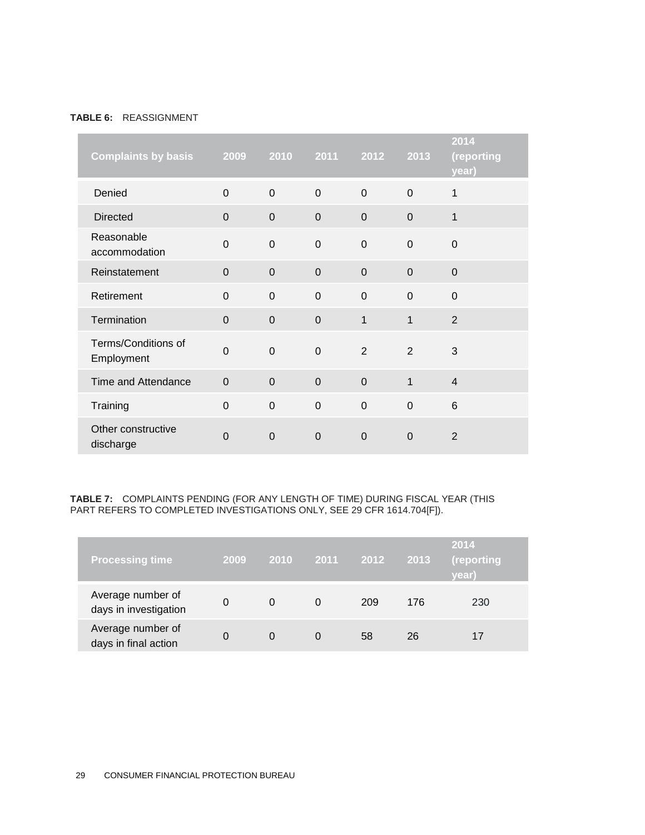#### **TABLE 6:** REASSIGNMENT

| <b>Complaints by basis</b>        | 2009           | 2010           | 2011           | 2012           | 2013           | 2014<br>(reporting<br>year) |
|-----------------------------------|----------------|----------------|----------------|----------------|----------------|-----------------------------|
| Denied                            | $\Omega$       | $\overline{0}$ | $\overline{0}$ | $\Omega$       | $\Omega$       | 1                           |
| <b>Directed</b>                   | $\Omega$       | $\Omega$       | $\Omega$       | $\Omega$       | $\Omega$       | 1                           |
| Reasonable<br>accommodation       | $\overline{0}$ | $\mathbf 0$    | $\mathbf 0$    | $\mathbf 0$    | $\overline{0}$ | $\mathbf 0$                 |
| Reinstatement                     | $\overline{0}$ | $\mathbf 0$    | $\mathbf 0$    | $\overline{0}$ | $\mathbf 0$    | $\mathbf 0$                 |
| Retirement                        | $\overline{0}$ | $\mathbf 0$    | $\overline{0}$ | $\overline{0}$ | $\overline{0}$ | 0                           |
| Termination                       | $\overline{0}$ | $\mathbf 0$    | $\overline{0}$ | $\mathbf{1}$   | 1              | $\overline{2}$              |
| Terms/Conditions of<br>Employment | $\overline{0}$ | $\overline{0}$ | $\Omega$       | 2              | 2              | 3                           |
| Time and Attendance               | $\Omega$       | $\overline{0}$ | $\overline{0}$ | $\mathbf 0$    | $\mathbf{1}$   | $\overline{4}$              |
| Training                          | $\Omega$       | $\overline{0}$ | $\overline{0}$ | $\overline{0}$ | $\Omega$       | 6                           |
| Other constructive<br>discharge   | $\Omega$       | $\Omega$       | $\Omega$       | $\Omega$       | $\Omega$       | $\overline{2}$              |

#### **TABLE 7:** COMPLAINTS PENDING (FOR ANY LENGTH OF TIME) DURING FISCAL YEAR (THIS PART REFERS TO COMPLETED INVESTIGATIONS ONLY, SEE 29 CFR 1614.704[F]).

| <b>Processing time</b>                     | 2009 | 2010 | $-2011$ | 2012 | 2013 | 2014<br>(reporting<br>vear) |
|--------------------------------------------|------|------|---------|------|------|-----------------------------|
| Average number of<br>days in investigation | 0    | 0    | 0       | 209  | 176  | 230                         |
| Average number of<br>days in final action  | 0    | 0    | 0       | 58   | 26   |                             |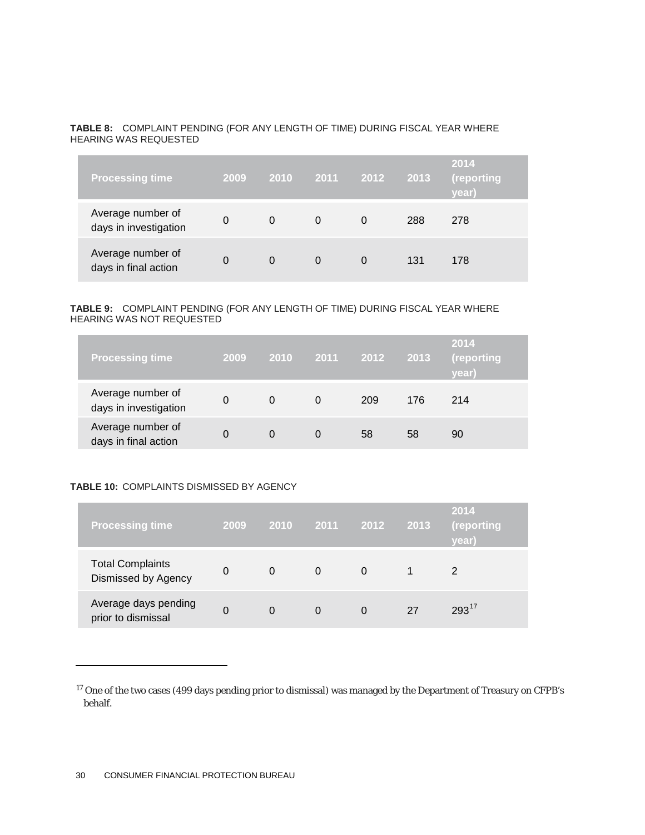#### **TABLE 8:** COMPLAINT PENDING (FOR ANY LENGTH OF TIME) DURING FISCAL YEAR WHERE HEARING WAS REQUESTED

| <b>Processing time</b>                     | 2009 | 2010     | 2011     | 2012     | 2013 | 2014<br>(reporting<br>year) |
|--------------------------------------------|------|----------|----------|----------|------|-----------------------------|
| Average number of<br>days in investigation | 0    | 0        | $\Omega$ | 0        | 288  | 278                         |
| Average number of<br>days in final action  | 0    | $\Omega$ | $\Omega$ | $\Omega$ | 131  | 178                         |

#### **TABLE 9:** COMPLAINT PENDING (FOR ANY LENGTH OF TIME) DURING FISCAL YEAR WHERE HEARING WAS NOT REQUESTED

| <b>Processing time</b>                     | 2009 | 2010 | 2011 | 2012 | 2013 | 2014<br>(reporting<br><b>vear</b> ) |
|--------------------------------------------|------|------|------|------|------|-------------------------------------|
| Average number of<br>days in investigation | 0    | 0    | 0    | 209  | 176  | 214                                 |
| Average number of<br>days in final action  |      | 0    |      | 58   | 58   | 90                                  |

#### **TABLE 10:** COMPLAINTS DISMISSED BY AGENCY

| <b>Processing time</b>                         | 2009 | <b>2010</b> | 2011 | 2012     | 2013 | 2014<br>(reporting<br>year) |
|------------------------------------------------|------|-------------|------|----------|------|-----------------------------|
| <b>Total Complaints</b><br>Dismissed by Agency | 0    | 0           | 0    | 0        |      |                             |
| Average days pending<br>prior to dismissal     | 0    | $\Omega$    | 0    | $\Omega$ | 27   | $293^{17}$                  |

1

<span id="page-30-0"></span><sup>&</sup>lt;sup>17</sup> One of the two cases (499 days pending prior to dismissal) was managed by the Department of Treasury on CFPB's behalf.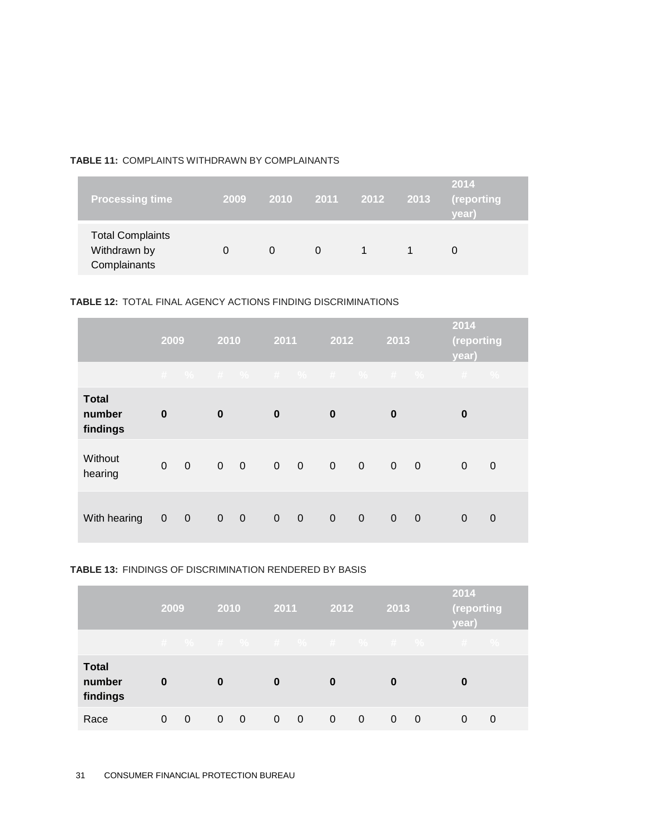#### **TABLE 11:** COMPLAINTS WITHDRAWN BY COMPLAINANTS

| <b>Processing time</b>                                  | 2009 | <b>2010</b> | 2011 | 2012 | 2013 | 2014<br>(reporting<br>vear) |
|---------------------------------------------------------|------|-------------|------|------|------|-----------------------------|
| <b>Total Complaints</b><br>Withdrawn by<br>Complainants |      | 0           | 0    |      |      |                             |

#### **TABLE 12:** TOTAL FINAL AGENCY ACTIONS FINDING DISCRIMINATIONS

|                                    |              | 2009           |                | 2010                     |                | 2011                     |                       | 2012        | 2013           |                          | 2014<br>(reporting<br>year) |               |
|------------------------------------|--------------|----------------|----------------|--------------------------|----------------|--------------------------|-----------------------|-------------|----------------|--------------------------|-----------------------------|---------------|
|                                    |              |                |                |                          |                |                          | # % # % # % # % # % # |             |                |                          | #                           | $\frac{0}{0}$ |
| <b>Total</b><br>number<br>findings | $\bf{0}$     |                | $\bf{0}$       |                          | $\bf{0}$       |                          | $\bf{0}$              |             | $\bf{0}$       |                          | $\bf{0}$                    |               |
| Without<br>hearing                 | $\mathbf{0}$ | $\overline{0}$ | $\overline{0}$ | $\overline{\phantom{0}}$ | $\overline{0}$ | $\overline{\phantom{0}}$ | $\bullet$ 0           | $\mathbf 0$ | $\overline{0}$ | $\overline{\phantom{0}}$ | $\mathbf 0$                 | $\mathbf 0$   |
| With hearing                       | $\mathbf 0$  | $\overline{0}$ | $\overline{0}$ | $\mathbf 0$              | $\mathbf 0$    | $\mathbf 0$              | $\mathbf 0$           | $\mathbf 0$ | $\mathbf 0$    | $\overline{0}$           | $\mathbf 0$                 | $\mathbf 0$   |

#### **TABLE 13:** FINDINGS OF DISCRIMINATION RENDERED BY BASIS

|                                    | 2009 |   | 2010     |                | 2011     |                | 2012     |          | 2013     |                       | 2014<br>(reporting<br>year) |               |
|------------------------------------|------|---|----------|----------------|----------|----------------|----------|----------|----------|-----------------------|-----------------------------|---------------|
|                                    |      |   |          |                |          |                |          |          |          | # % # % # % # % # % # |                             | $\frac{9}{6}$ |
| <b>Total</b><br>number<br>findings | 0    |   | $\bf{0}$ |                | $\bf{0}$ |                | $\bf{0}$ |          | 0        |                       | 0                           |               |
| Race                               | 0    | 0 | 0        | $\overline{0}$ | 0        | $\overline{0}$ | $\Omega$ | $\Omega$ | $\Omega$ | $\Omega$              | 0                           | 0             |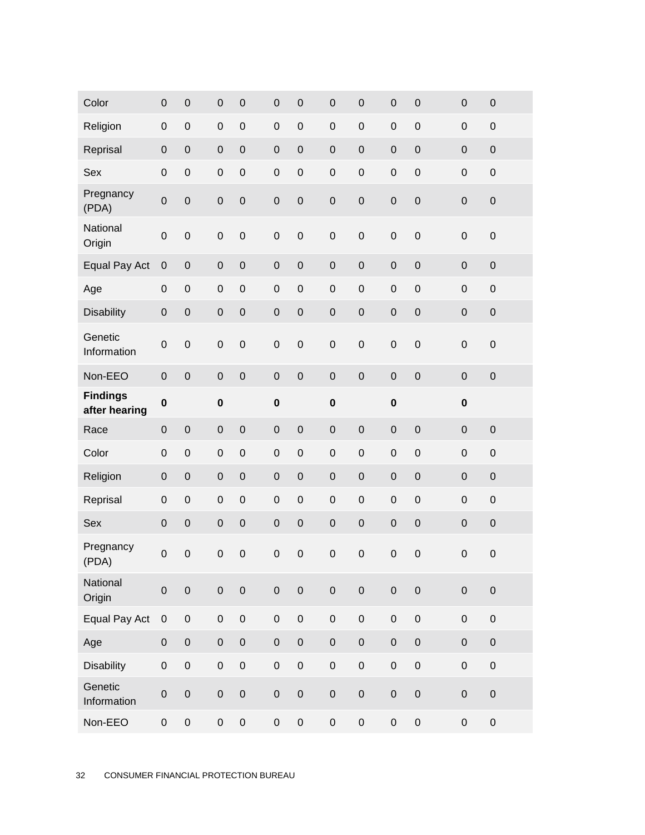| Color                  | $\mathbf 0$         | $\mathbf 0$      | $\mathbf 0$         | $\mathsf{O}\xspace$ | $\boldsymbol{0}$ | $\mathsf{O}\xspace$ | $\mathsf{O}\xspace$ | $\mathbf 0$         | $\mathbf 0$         | $\mathbf 0$ | $\pmb{0}$   | $\mathbf 0$ |
|------------------------|---------------------|------------------|---------------------|---------------------|------------------|---------------------|---------------------|---------------------|---------------------|-------------|-------------|-------------|
| Religion               | $\boldsymbol{0}$    | $\boldsymbol{0}$ | $\mathbf 0$         | $\mathsf{O}\xspace$ | $\boldsymbol{0}$ | $\mathsf{O}\xspace$ | $\mathbf 0$         | $\mathbf 0$         | $\mathbf 0$         | $\mathbf 0$ | $\pmb{0}$   | $\mathbf 0$ |
| Reprisal               | $\mathbf 0$         | $\mathbf 0$      | $\mathbf 0$         | $\mathbf 0$         | $\boldsymbol{0}$ | $\mathsf{O}\xspace$ | $\mathbf 0$         | $\mathbf 0$         | $\mathbf 0$         | $\mathbf 0$ | $\pmb{0}$   | $\mathbf 0$ |
| Sex                    | $\mathbf 0$         | $\mathbf 0$      | $\mathbf 0$         | $\mathsf{O}\xspace$ | $\mathbf 0$      | $\mathbf 0$         | $\mathbf 0$         | $\mathbf 0$         | $\mathbf 0$         | $\mathbf 0$ | $\mathbf 0$ | $\mathbf 0$ |
| Pregnancy<br>(PDA)     | $\mathbf 0$         | $\mathbf 0$      | $\mathbf 0$         | $\mathsf{O}\xspace$ | $\mathbf 0$      | $\mathsf{O}\xspace$ | $\mathbf 0$         | $\mathbf 0$         | $\mathbf 0$         | $\mathbf 0$ | $\mathbf 0$ | $\mathbf 0$ |
| National<br>Origin     | $\mathbf 0$         | $\mathbf 0$      | $\mathbf 0$         | $\mathbf 0$         | $\mathbf 0$      | $\mathbf 0$         | $\mathsf{O}\xspace$ | $\mathbf 0$         | $\mathbf 0$         | $\mathbf 0$ | $\mathbf 0$ | $\mathbf 0$ |
| Equal Pay Act          | $\pmb{0}$           | $\pmb{0}$        | $\mathbf 0$         | $\mathsf{O}\xspace$ | $\mathbf 0$      | $\mathbf 0$         | $\mathsf{O}\xspace$ | $\mathbf 0$         | $\mathbf 0$         | $\mathbf 0$ | $\mathbf 0$ | $\mathbf 0$ |
| Age                    | $\boldsymbol{0}$    | $\mathbf 0$      | $\mathbf 0$         | $\mathsf{O}\xspace$ | $\boldsymbol{0}$ | $\mathsf{O}\xspace$ | $\mathbf 0$         | $\mathbf 0$         | $\mathbf 0$         | $\mathbf 0$ | $\pmb{0}$   | $\mathbf 0$ |
| <b>Disability</b>      | $\mathbf 0$         | $\mathbf 0$      | $\mathbf 0$         | $\mathsf{O}\xspace$ | $\mathbf 0$      | $\mathsf{O}\xspace$ | $\mathsf{O}\xspace$ | $\mathbf 0$         | $\mathbf 0$         | $\mathbf 0$ | $\mathbf 0$ | $\mathbf 0$ |
| Genetic<br>Information | $\mathbf 0$         | $\mathbf 0$      | $\mathbf 0$         | $\mathbf 0$         | $\mathbf 0$      | $\mathbf 0$         | $\mathbf 0$         | $\mathbf 0$         | $\mathbf 0$         | $\mathbf 0$ | $\mathbf 0$ | $\mathbf 0$ |
| Non-EEO                | $\mathbf 0$         | $\mathbf 0$      | $\mathbf 0$         | $\mathbf 0$         | $\mathbf 0$      | $\mathbf 0$         | $\mathbf 0$         | $\mathbf 0$         | $\mathsf{O}\xspace$ | $\mathbf 0$ | $\mathbf 0$ | $\mathbf 0$ |
| <b>Findings</b>        | $\bf{0}$            |                  | $\bf{0}$            |                     | $\bf{0}$         |                     | $\bf{0}$            |                     | $\pmb{0}$           |             | $\mathbf 0$ |             |
| after hearing          |                     |                  |                     |                     |                  |                     |                     |                     |                     |             |             |             |
| Race                   | $\mathbf 0$         | $\mathbf 0$      | $\mathbf 0$         | $\mathsf{O}\xspace$ | $\boldsymbol{0}$ | $\pmb{0}$           | $\mathbf 0$         | $\mathbf 0$         | $\mathbf 0$         | $\mathbf 0$ | $\mathbf 0$ | $\mathbf 0$ |
| Color                  | $\mathbf 0$         | $\mathbf 0$      | $\mathbf 0$         | $\mathbf 0$         | $\boldsymbol{0}$ | $\mathsf{O}\xspace$ | $\mathbf 0$         | $\mathbf 0$         | $\mathbf 0$         | $\mathbf 0$ | $\mathbf 0$ | $\mathbf 0$ |
| Religion               | $\mathbf 0$         | $\mathbf 0$      | $\mathbf 0$         | $\mathsf{O}\xspace$ | $\mathbf 0$      | $\mathsf{O}\xspace$ | $\mathsf{O}\xspace$ | $\mathbf 0$         | $\mathbf 0$         | $\mathbf 0$ | $\mathbf 0$ | $\mathbf 0$ |
| Reprisal               | $\boldsymbol{0}$    | $\mathbf 0$      | $\mathbf 0$         | $\mathbf 0$         | $\boldsymbol{0}$ | $\mathsf{O}\xspace$ | $\mathbf 0$         | $\mathbf 0$         | $\mathbf 0$         | $\mathbf 0$ | $\mathbf 0$ | $\mathbf 0$ |
| Sex                    | $\pmb{0}$           | $\mathbf 0$      | $\mathbf 0$         | $\mathsf{O}\xspace$ | $\mathbf 0$      | $\mathsf{O}\xspace$ | $\mathbf 0$         | $\mathbf 0$         | $\mathbf 0$         | $\mathbf 0$ | $\mathbf 0$ | $\mathbf 0$ |
| Pregnancy<br>(PDA)     | $\mathbf 0$         | $\mathbf 0$      | $\mathbf 0$         | $\mathbf 0$         | $\mathbf 0$      | $\mathbf 0$         | $\mathbf 0$         | $\mathbf 0$         | $\mathbf 0$         | $\mathbf 0$ | $\mathbf 0$ | $\mathbf 0$ |
| National<br>Origin     | $\mathsf{O}\xspace$ | $\pmb{0}$        | $\mathsf{O}\xspace$ | $\mathbf 0$         | $\mathbf 0$      | $\mathbf 0$         | $\mathbf 0$         | $\mathbf 0$         | $\mathsf{O}\xspace$ | $\pmb{0}$   | $\mathbf 0$ | $\mathbf 0$ |
| Equal Pay Act          | $\mathbf 0$         | $\mbox{O}$       | $\mathbf 0$         | $\mathbf 0$         | $\pmb{0}$        | $\mathbf 0$         | $\mathsf{O}\xspace$ | $\mathbf 0$         | $\mathbf 0$         | $\mathbf 0$ | $\mathbf 0$ | $\mathbf 0$ |
| Age                    | $\mathbf 0$         | $\mathbf 0$      | $\mathbf 0$         | $\mathbf 0$         | $\mathbf 0$      | $\mathbf 0$         | $\mathbf 0$         | $\mathbf 0$         | $\mathbf 0$         | $\mathbf 0$ | $\mathbf 0$ | $\mathbf 0$ |
| <b>Disability</b>      | $\mathbf 0$         | $\mathbf 0$      | $\mathsf{O}\xspace$ | $\mathbf 0$         | $\mathbf 0$      | $\mathbf 0$         | $\mathbf 0$         | $\mathbf 0$         | $\mathbf 0$         | $\pmb{0}$   | $\mathbf 0$ | $\mathbf 0$ |
| Genetic<br>Information | $\mathbf 0$         | $\mathbf 0$      | $\mathbf 0$         | $\mathbf 0$         | $\mathbf 0$      | $\mathbf 0$         | $\pmb{0}$           | $\mathsf{O}\xspace$ | $\mathbf 0$         | $\pmb{0}$   | $\mathbf 0$ | $\mathbf 0$ |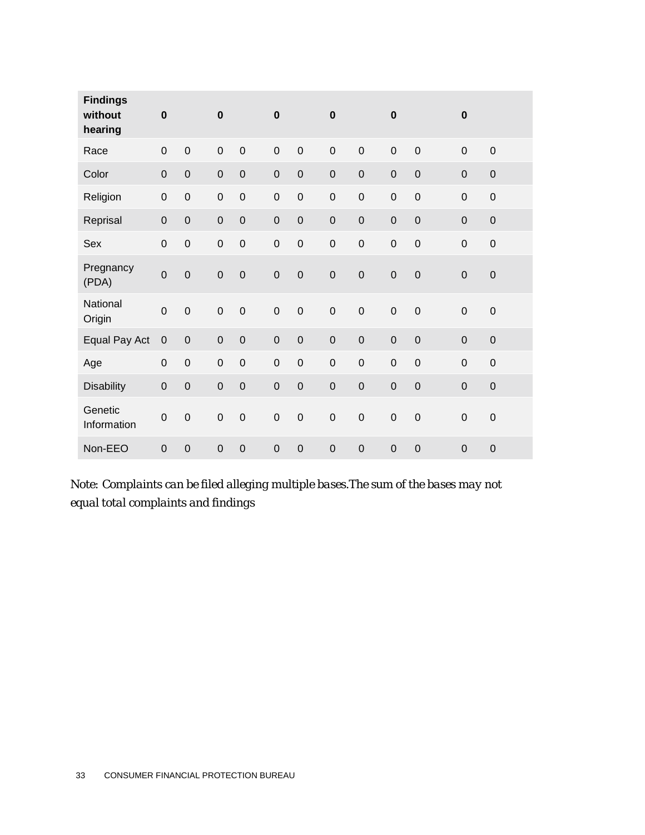| <b>Findings</b><br>without<br>hearing | $\bf{0}$    |                  | $\bf{0}$       |                | $\mathbf 0$    |                  | $\mathbf 0$ |             | $\mathbf 0$      |             | $\mathbf 0$    |             |
|---------------------------------------|-------------|------------------|----------------|----------------|----------------|------------------|-------------|-------------|------------------|-------------|----------------|-------------|
| Race                                  | $\mbox{O}$  | $\mathbf 0$      | $\mathbf 0$    | $\mathbf 0$    | $\mathbf 0$    | $\mathbf 0$      | $\mathbf 0$ | $\mathbf 0$ | $\boldsymbol{0}$ | $\mathbf 0$ | $\mathbf 0$    | $\mathbf 0$ |
| Color                                 | $\mathbf 0$ | $\boldsymbol{0}$ | $\mathbf 0$    | $\mathbf 0$    | $\mathbf 0$    | $\boldsymbol{0}$ | $\mathbf 0$ | $\mathbf 0$ | $\mathbf 0$      | $\mathbf 0$ | $\mathbf 0$    | $\pmb{0}$   |
| Religion                              | $\mathbf 0$ | $\boldsymbol{0}$ | $\mathbf 0$    | $\mathbf 0$    | $\mathbf 0$    | $\boldsymbol{0}$ | $\mathbf 0$ | $\mathsf 0$ | $\mathbf 0$      | $\mathbf 0$ | $\mathbf 0$    | $\pmb{0}$   |
| Reprisal                              | $\mathbf 0$ | $\mathbf 0$      | $\mathbf 0$    | $\mathbf 0$    | $\mathbf 0$    | $\boldsymbol{0}$ | $\mathbf 0$ | $\mathsf 0$ | $\mathbf 0$      | $\mathbf 0$ | $\overline{0}$ | $\pmb{0}$   |
| Sex                                   | $\mathbf 0$ | $\mathbf 0$      | $\mathbf 0$    | $\mathbf 0$    | $\mathbf 0$    | $\mathbf 0$      | $\mathbf 0$ | $\mathsf 0$ | $\mathbf 0$      | $\mathbf 0$ | $\mathbf 0$    | $\pmb{0}$   |
| Pregnancy<br>(PDA)                    | $\mathbf 0$ | $\mathbf 0$      | $\mathbf 0$    | $\mathbf 0$    | $\mathbf 0$    | $\boldsymbol{0}$ | $\mathbf 0$ | $\mathbf 0$ | $\mathbf 0$      | $\mathbf 0$ | $\mathbf 0$    | $\mathbf 0$ |
| National<br>Origin                    | $\mathbf 0$ | $\mathbf 0$      | $\mathbf 0$    | $\mathbf 0$    | $\mathbf 0$    | $\mathbf 0$      | $\mathbf 0$ | $\mathsf 0$ | $\mathbf 0$      | $\mathbf 0$ | $\mathbf 0$    | $\mathbf 0$ |
| Equal Pay Act                         | $\mathbf 0$ | $\mathbf 0$      | $\overline{0}$ | $\mathbf 0$    | $\overline{0}$ | $\mathbf 0$      | $\mathbf 0$ | $\mathbf 0$ | $\mathbf 0$      | $\mathbf 0$ | $\mathbf 0$    | $\mathbf 0$ |
| Age                                   | $\mathbf 0$ | $\boldsymbol{0}$ | $\mathbf 0$    | $\mathbf 0$    | $\mathbf 0$    | $\mathbf 0$      | $\mathbf 0$ | $\mathbf 0$ | $\mathbf 0$      | $\mathbf 0$ | $\mathbf 0$    | $\pmb{0}$   |
| <b>Disability</b>                     | $\mathbf 0$ | $\mathbf 0$      | $\mathbf 0$    | $\mathbf 0$    | $\mathbf 0$    | $\boldsymbol{0}$ | $\mathbf 0$ | $\mathbf 0$ | $\mathbf 0$      | $\mathbf 0$ | $\mathbf 0$    | $\pmb{0}$   |
| Genetic<br>Information                | $\mathbf 0$ | $\mathbf 0$      | $\mathbf 0$    | $\mathbf 0$    | $\mathbf 0$    | $\mathbf 0$      | $\mathbf 0$ | $\mathsf 0$ | $\mathbf 0$      | $\mathbf 0$ | $\mathbf 0$    | $\mathbf 0$ |
| Non-EEO                               | $\mathbf 0$ | $\overline{0}$   | $\overline{0}$ | $\overline{0}$ | $\overline{0}$ | $\mathbf 0$      | $\mathbf 0$ | $\mathbf 0$ | $\mathbf 0$      | $\mathbf 0$ | $\mathbf 0$    | $\mathbf 0$ |

*Note: Complaints can be filed alleging multiple bases.The sum of the bases may not equal total complaints and findings*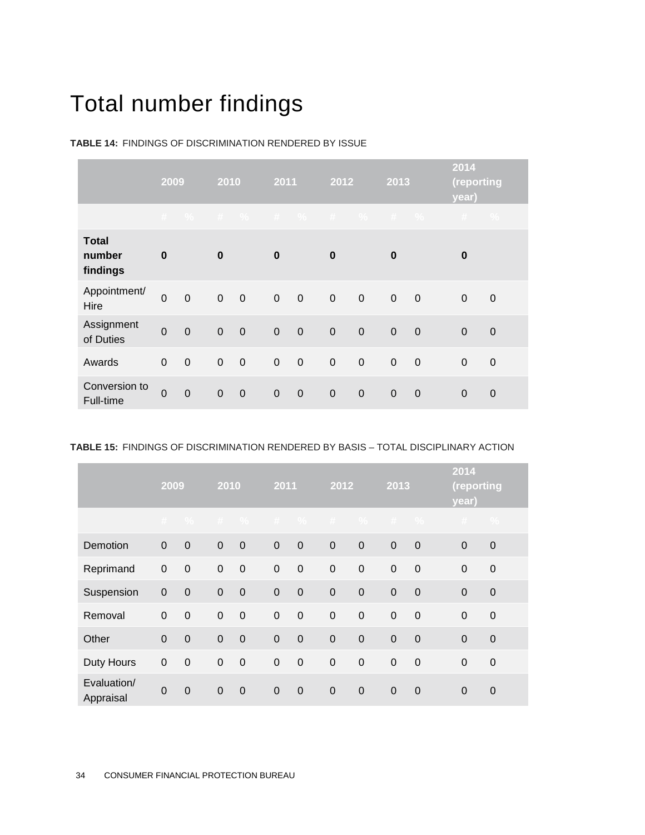## Total number findings

|                                    | 2009           |             | 2010        |             |                | 2011        |             | $\overline{2012}$ |             | 2013           |                       | (reporting    |
|------------------------------------|----------------|-------------|-------------|-------------|----------------|-------------|-------------|-------------------|-------------|----------------|-----------------------|---------------|
|                                    |                |             |             |             |                |             |             |                   |             |                | # % # % # % # % # % # | $\frac{0}{2}$ |
| <b>Total</b><br>number<br>findings | $\bf{0}$       |             | $\bf{0}$    |             | $\bf{0}$       |             | $\bf{0}$    |                   | $\bf{0}$    |                | 0                     |               |
| Appointment/<br>Hire               | $\overline{0}$ | $\mathbf 0$ | $\mathbf 0$ | $\mathbf 0$ | $\overline{0}$ | $\mathbf 0$ | $\mathbf 0$ | $\overline{0}$    | $\mathbf 0$ | $\overline{0}$ | $\mathbf 0$           | $\mathbf 0$   |
| Assignment<br>of Duties            | $\overline{0}$ | $\mathbf 0$ | $\mathbf 0$ | $\mathbf 0$ | $\mathbf 0$    | $\mathbf 0$ | $\mathbf 0$ | $\overline{0}$    | $\mathbf 0$ | $\overline{0}$ | $\mathbf 0$           | $\mathbf 0$   |
| Awards                             | $\mathbf 0$    | $\mathbf 0$ | $\pmb{0}$   | $\mathbf 0$ | $\pmb{0}$      | $\mathbf 0$ | $\mathbf 0$ | $\mathbf 0$       | $\mathbf 0$ | $\mathbf 0$    | 0                     | $\mathbf 0$   |
| Conversion to<br>Full-time         | $\overline{0}$ | $\mathbf 0$ | $\mathbf 0$ | $\mathbf 0$ | $\mathbf 0$    | $\mathbf 0$ | $\mathbf 0$ | $\mathbf 0$       | $\mathbf 0$ | $\mathbf 0$    | $\mathbf 0$           | $\mathbf 0$   |

**TABLE 14:** FINDINGS OF DISCRIMINATION RENDERED BY ISSUE

|  |  |  | <b>TABLE 15: FINDINGS OF DISCRIMINATION RENDERED BY BASIS - TOTAL DISCIPLINARY ACTION</b> |
|--|--|--|-------------------------------------------------------------------------------------------|
|--|--|--|-------------------------------------------------------------------------------------------|

|                          | 2009           |                  |                | 2010         |                  | $\overline{2011}$ |                 | 2012             |             | 2013             |                | (reporting    |
|--------------------------|----------------|------------------|----------------|--------------|------------------|-------------------|-----------------|------------------|-------------|------------------|----------------|---------------|
|                          |                | #  % 0           |                |              |                  |                   | # % # % # % # % |                  |             |                  | $+$            | $\frac{0}{0}$ |
| Demotion                 | $\mathbf{0}$   | $\mathbf 0$      | $\mathbf 0$    | $\mathbf 0$  | $\boldsymbol{0}$ | $\overline{0}$    | $\pmb{0}$       | $\pmb{0}$        | $\mathbf 0$ | $\mathbf 0$      | $\mathbf 0$    | $\mathbf 0$   |
| Reprimand                | $\pmb{0}$      | $\mathbf 0$      | $\pmb{0}$      | $\mathbf 0$  | $\mathbf 0$      | $\pmb{0}$         | $\mathbf 0$     | $\mathbf 0$      | $\pmb{0}$   | $\boldsymbol{0}$ | $\mathbf 0$    | $\mathbf 0$   |
| Suspension               | $\mathbf 0$    | $\mathbf 0$      | $\overline{0}$ | $\mathbf{0}$ | $\mathbf 0$      | $\overline{0}$    | $\mathbf 0$     | $\mathbf 0$      | $\mathbf 0$ | $\mathbf 0$      | $\overline{0}$ | $\mathbf 0$   |
| Removal                  | $\mathbf 0$    | $\mathbf 0$      | $\pmb{0}$      | $\mathbf 0$  | $\boldsymbol{0}$ | $\overline{0}$    | $\mathbf 0$     | $\boldsymbol{0}$ | $\mathbf 0$ | $\boldsymbol{0}$ | $\mathbf 0$    | $\mathbf 0$   |
| Other                    | $\overline{0}$ | $\mathbf 0$      | $\mathbf 0$    | $\mathbf 0$  | $\mathbf 0$      | $\mathbf 0$       | $\mathbf 0$     | $\mathbf 0$      | $\mathbf 0$ | $\mathbf 0$      | $\Omega$       | $\mathbf 0$   |
| Duty Hours               | $\mathbf 0$    | $\boldsymbol{0}$ | $\pmb{0}$      | $\mathbf 0$  | $\mathbf 0$      | $\pmb{0}$         | $\mathbf 0$     | $\boldsymbol{0}$ | $\mathbf 0$ | $\boldsymbol{0}$ | $\mathbf 0$    | $\mathbf 0$   |
| Evaluation/<br>Appraisal | $\overline{0}$ | $\overline{0}$   | $\mathbf{0}$   | $\Omega$     | $\overline{0}$   | $\mathbf 0$       | $\mathbf 0$     | $\mathbf 0$      | $\mathbf 0$ | $\overline{0}$   | $\Omega$       | $\Omega$      |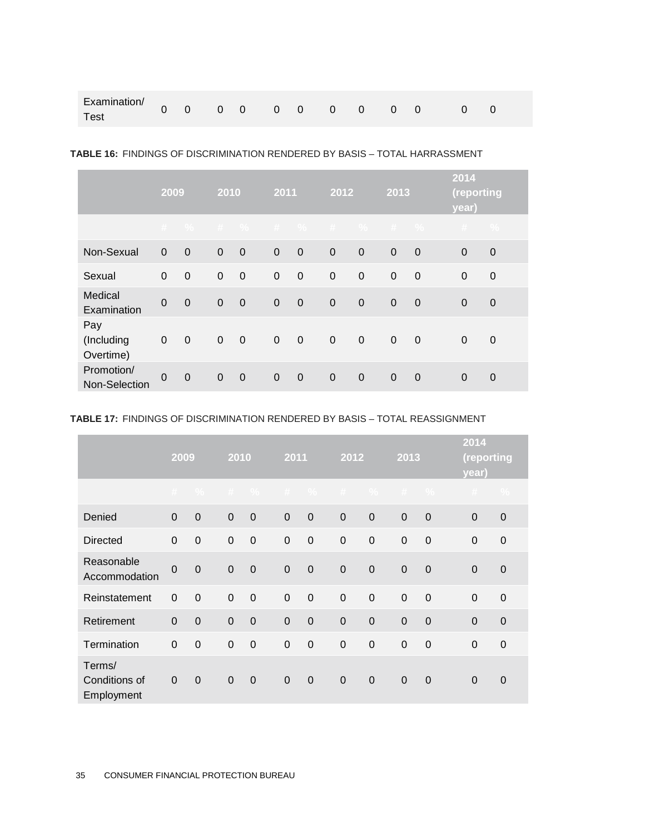#### **TABLE 16:** FINDINGS OF DISCRIMINATION RENDERED BY BASIS – TOTAL HARRASSMENT

|                                | 2009           |             | 2010        |             |             | 2011        |                | 2012           |             | 2013           |                       | (reporting     |
|--------------------------------|----------------|-------------|-------------|-------------|-------------|-------------|----------------|----------------|-------------|----------------|-----------------------|----------------|
|                                |                |             |             |             |             |             |                |                |             |                | # % # % # % # % # % # | $\frac{0}{0}$  |
| Non-Sexual                     | $\mathbf 0$    | $\mathbf 0$ | $\mathbf 0$ | $\mathbf 0$ | $\mathbf 0$ | $\mathbf 0$ | $\overline{0}$ | $\mathbf 0$    | $\mathbf 0$ | $\mathbf 0$    | $\mathbf 0$           | $\overline{0}$ |
| Sexual                         | $\mathbf 0$    | $\mathbf 0$ | $\mathbf 0$ | $\mathbf 0$ | $\mathbf 0$ | $\mathbf 0$ | $\mathbf 0$    | $\mathbf 0$    | $\mathbf 0$ | $\mathbf 0$    | $\mathbf 0$           | $\mathbf 0$    |
| Medical<br>Examination         | $\mathbf 0$    | $\mathbf 0$ | $\mathbf 0$ | $\mathbf 0$ | $\Omega$    | $\mathbf 0$ | $\mathbf 0$    | $\mathbf 0$    | $\mathbf 0$ | $\overline{0}$ | $\Omega$              | $\mathbf 0$    |
| Pay<br>(Including<br>Overtime) | $\pmb{0}$      | $\mathbf 0$ | $\mathbf 0$ | $\mathbf 0$ | $\mathbf 0$ | $\mathbf 0$ | $\mathbf 0$    | $\mathbf 0$    | $\mathbf 0$ | $\mathbf 0$    | $\Omega$              | $\mathbf 0$    |
| Promotion/<br>Non-Selection    | $\overline{0}$ | $\mathbf 0$ | $\Omega$    | $\mathbf 0$ | $\Omega$    | $\mathbf 0$ | $\overline{0}$ | $\overline{0}$ | $\Omega$    | $\mathbf 0$    | $\Omega$              | $\Omega$       |

#### **TABLE 17:** FINDINGS OF DISCRIMINATION RENDERED BY BASIS – TOTAL REASSIGNMENT

|                                       | 2009           |             |                | 2010           |              | 2011           |                  | $\overline{2012}$ |                | 2013           |                | (reporting     |
|---------------------------------------|----------------|-------------|----------------|----------------|--------------|----------------|------------------|-------------------|----------------|----------------|----------------|----------------|
|                                       |                | $#$ %       | $+$            | $\frac{0}{2}$  | #            | $\frac{0}{2}$  | #                | $\frac{0}{2}$     | #              | $\frac{0}{2}$  | #              | $\frac{0}{2}$  |
| Denied                                | $\mathbf 0$    | $\mathbf 0$ | $\mathbf 0$    | $\overline{0}$ | $\mathbf{0}$ | $\overline{0}$ | $\mathbf 0$      | $\mathbf 0$       | $\mathbf 0$    | $\mathbf 0$    | $\Omega$       | $\mathbf 0$    |
| <b>Directed</b>                       | $\mathbf 0$    | $\mathbf 0$ | $\mathbf 0$    | $\mathbf 0$    | $\mathbf 0$  | $\mathbf 0$    | $\mathbf 0$      | $\mathbf 0$       | $\mathbf 0$    | $\mathbf 0$    | $\mathbf 0$    | $\mathbf 0$    |
| Reasonable<br>Accommodation           | $\overline{0}$ | $\mathbf 0$ | $\mathbf 0$    | $\mathbf 0$    | $\mathbf 0$  | $\mathbf 0$    | $\boldsymbol{0}$ | $\boldsymbol{0}$  | $\mathbf 0$    | $\mathbf 0$    | $\Omega$       | $\mathbf 0$    |
| Reinstatement                         | $\mathbf 0$    | $\mathbf 0$ | $\mathbf{0}$   | $\mathbf 0$    | $\mathbf{0}$ | $\mathbf 0$    | $\mathbf 0$      | $\mathbf 0$       | $\mathbf 0$    | $\mathbf 0$    | $\overline{0}$ | $\mathbf 0$    |
| Retirement                            | $\overline{0}$ | $\mathbf 0$ | $\overline{0}$ | $\overline{0}$ | $\mathbf{0}$ | $\overline{0}$ | $\overline{0}$   | $\mathbf 0$       | $\overline{0}$ | $\overline{0}$ | $\overline{0}$ | $\overline{0}$ |
| Termination                           | $\mathbf 0$    | $\mathbf 0$ | $\mathbf 0$    | $\mathbf 0$    | $\mathbf 0$  | $\mathbf 0$    | $\mathbf 0$      | $\mathbf 0$       | $\mathbf 0$    | $\mathbf 0$    | $\Omega$       | $\mathbf 0$    |
| Terms/<br>Conditions of<br>Employment | 0              | $\mathbf 0$ | $\mathbf 0$    | $\mathbf 0$    | $\mathbf 0$  | $\overline{0}$ | $\overline{0}$   | $\overline{0}$    | $\mathbf 0$    | $\mathbf 0$    | $\Omega$       | $\overline{0}$ |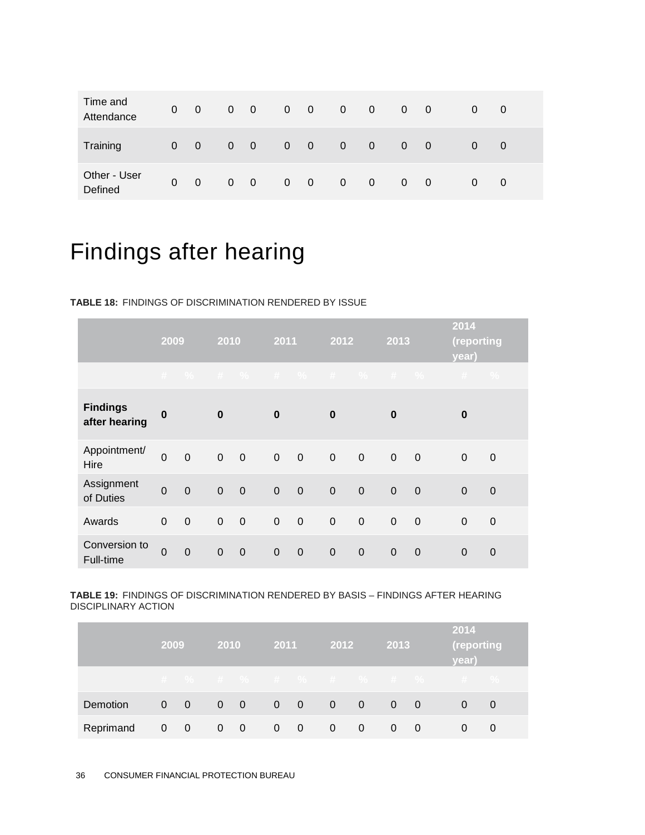| Time and<br>Attendance  | $\overline{0}$ | $\overline{0}$ | $\overline{0}$ | $\overline{0}$          | $\overline{0}$ | $\overline{0}$ | $\mathbf{0}$   | $\overline{0}$ | 0        | $\overline{0}$ | 0 | 0 |
|-------------------------|----------------|----------------|----------------|-------------------------|----------------|----------------|----------------|----------------|----------|----------------|---|---|
| Training                | 0              | $\overline{0}$ | $\overline{0}$ | $\overline{\mathbf{0}}$ | $\overline{0}$ | $\overline{0}$ | $\overline{0}$ | $\overline{0}$ | $\Omega$ | $\overline{0}$ | 0 | 0 |
| Other - User<br>Defined | $\mathbf{0}$   | 0              | $\overline{0}$ | $\overline{0}$          | $\mathbf{0}$   | $\overline{0}$ | $\mathbf{0}$   | $\overline{0}$ | $\Omega$ | $\overline{0}$ | 0 | 0 |

## Findings after hearing

#### **TABLE 18:** FINDINGS OF DISCRIMINATION RENDERED BY ISSUE

|                                  | 2009           |                  | 2010        |             | 2011        |                          | 2012           |             | $\overline{2013}$ |             | 2014<br>(reporting<br>year)                                                                                                                      |             |
|----------------------------------|----------------|------------------|-------------|-------------|-------------|--------------------------|----------------|-------------|-------------------|-------------|--------------------------------------------------------------------------------------------------------------------------------------------------|-------------|
|                                  |                |                  |             |             |             |                          |                |             |                   |             | $\begin{array}{ccccccccccccccccccccc} \# & \gamma_0 & \# & \gamma_0 & \# & \gamma_0 & \# & \gamma_0 & \# & \gamma_0 & \# & \gamma_0 \end{array}$ |             |
| <b>Findings</b><br>after hearing | $\bf{0}$       |                  | $\bf{0}$    |             | $\bf{0}$    |                          | $\bf{0}$       |             | $\bf{0}$          |             | 0                                                                                                                                                |             |
| Appointment/<br>Hire             | $\mathbf 0$    | $\mathbf 0$      | $\mathbf 0$ | $\mathbf 0$ | $\mathbf 0$ | $\overline{\phantom{0}}$ | $\mathbf 0$    | $\pmb{0}$   | $\mathsf 0$       | $\mathbf 0$ | 0                                                                                                                                                | $\mathbf 0$ |
| Assignment<br>of Duties          | $\mathbf 0$    | $\mathbf 0$      | $\mathbf 0$ | $\mathbf 0$ | $\mathbf 0$ | $\overline{0}$           | $\overline{0}$ | $\mathbf 0$ | $\mathbf 0$       | $\mathbf 0$ | $\mathbf 0$                                                                                                                                      | $\mathbf 0$ |
| Awards                           | $\Omega$       | $\boldsymbol{0}$ | $\mathbf 0$ | $\mathbf 0$ | $\mathbf 0$ | $\pmb{0}$                | $\mathbf 0$    | $\mathbf 0$ | $\mathbf 0$       | $\mathbf 0$ | $\Omega$                                                                                                                                         | $\mathbf 0$ |
| Conversion to<br>Full-time       | $\overline{0}$ | $\mathbf 0$      | $\mathbf 0$ | $\mathbf 0$ | $\mathbf 0$ | $\overline{0}$           | $\mathbf 0$    | $\mathbf 0$ | $\mathbf 0$       | $\mathbf 0$ | $\mathbf 0$                                                                                                                                      | $\mathbf 0$ |

#### **TABLE 19:** FINDINGS OF DISCRIMINATION RENDERED BY BASIS – FINDINGS AFTER HEARING DISCIPLINARY ACTION

|           | 2009 |                          | <b>2010</b>              |                          | 2011           | 2012           |                          | 2013       |     | 2014<br>(reporting<br>year) |   |  |
|-----------|------|--------------------------|--------------------------|--------------------------|----------------|----------------|--------------------------|------------|-----|-----------------------------|---|--|
|           |      |                          |                          |                          |                |                |                          |            |     | # % # % # % # % # % # % # % |   |  |
| Demotion  |      | $0 \quad 0$              | $0\quad 0\quad 0\quad 0$ |                          |                | $\sqrt{0}$     | $\overline{\phantom{0}}$ | $0\quad 0$ |     |                             | 0 |  |
| Reprimand | 0    | $\overline{\phantom{0}}$ | $0\quad 0$               | $\overline{\phantom{0}}$ | $\overline{0}$ | $\overline{0}$ | $\mathbf 0$              | 0          | - 0 |                             |   |  |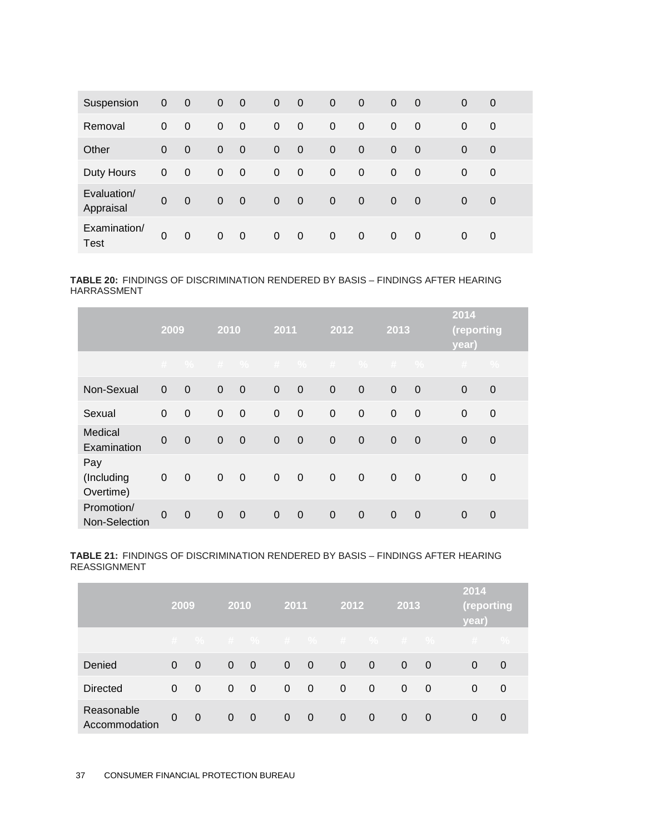| Suspension                  | 0           | $\overline{0}$ | $\mathbf 0$    | $\overline{0}$ | $\overline{0}$ | $\overline{0}$ | $\overline{0}$ | $\overline{0}$ | $\overline{0}$ | - 0            | $\Omega$ | $\overline{0}$ |
|-----------------------------|-------------|----------------|----------------|----------------|----------------|----------------|----------------|----------------|----------------|----------------|----------|----------------|
| Removal                     | 0           | $\overline{0}$ | $\mathbf{0}$   | $\overline{0}$ | $\mathbf 0$    | $\overline{0}$ | $\mathbf 0$    | $\mathbf 0$    | $\mathbf{0}$   | $\overline{0}$ | $\Omega$ | $\overline{0}$ |
| Other                       | $\Omega$    | $\overline{0}$ | $\overline{0}$ | $\mathbf 0$    | $\Omega$       | $\overline{0}$ | $\overline{0}$ | $\overline{0}$ | $\overline{0}$ | $\overline{0}$ | $\Omega$ | $\overline{0}$ |
| Duty Hours                  | 0           | $\overline{0}$ | $\mathbf{0}$   | $\overline{0}$ | $\overline{0}$ | $\overline{0}$ | $\overline{0}$ | $\mathbf 0$    | 0              | - 0            | $\Omega$ | 0              |
| Evaluation/<br>Appraisal    | $\mathbf 0$ | $\overline{0}$ | $\mathbf 0$    | $\mathbf 0$    | $\Omega$       | $\mathbf 0$    | $\overline{0}$ | $\overline{0}$ | $\overline{0}$ | - 0            | $\Omega$ | $\overline{0}$ |
| Examination/<br><b>Test</b> | $\Omega$    | $\mathbf 0$    | $\mathbf{0}$   | $\overline{0}$ | $\mathbf 0$    | $\mathbf 0$    | $\overline{0}$ | $\mathbf 0$    | $\mathbf{0}$   | - 0            | 0        | 0              |

**TABLE 20:** FINDINGS OF DISCRIMINATION RENDERED BY BASIS – FINDINGS AFTER HEARING HARRASSMENT

|                                |             | 2009        |             | 2010           |             | 2011                     | 2012        |             | 2013           |                | 2014<br>(reporting<br>year) |                |
|--------------------------------|-------------|-------------|-------------|----------------|-------------|--------------------------|-------------|-------------|----------------|----------------|-----------------------------|----------------|
|                                |             |             |             |                |             |                          |             |             |                |                | # % # % # % # % # % #       | $\frac{9}{6}$  |
| Non-Sexual                     | $\mathbf 0$ | $\mathbf 0$ | $\mathbf 0$ | $\mathbf 0$    | $\mathbf 0$ | $\overline{0}$           | $\mathbf 0$ | $\mathbf 0$ | $\mathbf 0$    | $\mathbf 0$    | $\mathbf 0$                 | $\mathbf 0$    |
| Sexual                         | $\Omega$    | $\mathbf 0$ | $\mathbf 0$ | $\mathbf 0$    | $\mathbf 0$ | $\overline{0}$           | $\mathbf 0$ | $\mathbf 0$ | $\mathbf 0$    | $\mathbf 0$    | $\mathbf 0$                 | $\mathbf 0$    |
| Medical<br>Examination         | $\Omega$    | $\mathbf 0$ | $\mathbf 0$ | $\mathbf 0$    | $\mathbf 0$ | $\overline{0}$           | $\mathbf 0$ | $\mathbf 0$ | $\overline{0}$ | $\mathbf 0$    | $\Omega$                    | $\mathbf 0$    |
| Pay<br>(Including<br>Overtime) | $\pmb{0}$   | $\mathbf 0$ | $\mathbf 0$ | $\mathbf 0$    | $\mathbf 0$ | $\overline{\phantom{0}}$ | $\mathbf 0$ | $\mathbf 0$ | $\mathbf 0$    | $\mathbf 0$    | $\Omega$                    | $\mathbf 0$    |
| Promotion/<br>Non-Selection    | $\Omega$    | $\mathbf 0$ | $\Omega$    | $\overline{0}$ | $\mathbf 0$ | $\overline{0}$           | $\mathbf 0$ | $\mathbf 0$ | $\mathbf 0$    | $\overline{0}$ | $\Omega$                    | $\overline{0}$ |

**TABLE 21:** FINDINGS OF DISCRIMINATION RENDERED BY BASIS – FINDINGS AFTER HEARING REASSIGNMENT

|                             | 2009         |                | 2010           |                          | 2011           |                         | 2012           |                | 2013           |          | 2014<br>(reporting<br>year) |   |
|-----------------------------|--------------|----------------|----------------|--------------------------|----------------|-------------------------|----------------|----------------|----------------|----------|-----------------------------|---|
|                             |              |                |                |                          |                |                         |                |                |                |          | # % # % # % # % # % # %     |   |
| Denied                      | 0            | $\Omega$       | $\overline{0}$ | $\overline{0}$           | $\overline{0}$ | $\overline{0}$          | $\overline{0}$ | $\overline{0}$ | $\overline{0}$ | - 0      | $\Omega$                    | 0 |
| <b>Directed</b>             | $\mathbf{0}$ | $\overline{0}$ | $\mathbf{0}$   | $\overline{\phantom{0}}$ | $\Omega$       | $\overline{\mathbf{0}}$ | $\mathbf 0$    | $\overline{0}$ | $\overline{0}$ | 0        | $\Omega$                    | 0 |
| Reasonable<br>Accommodation | $\mathbf{0}$ | $\overline{0}$ | $\overline{0}$ | $\overline{\phantom{0}}$ | $\overline{0}$ | $\sim 0$                | $\overline{0}$ | $\overline{0}$ | $\Omega$       | $\Omega$ | 0                           | 0 |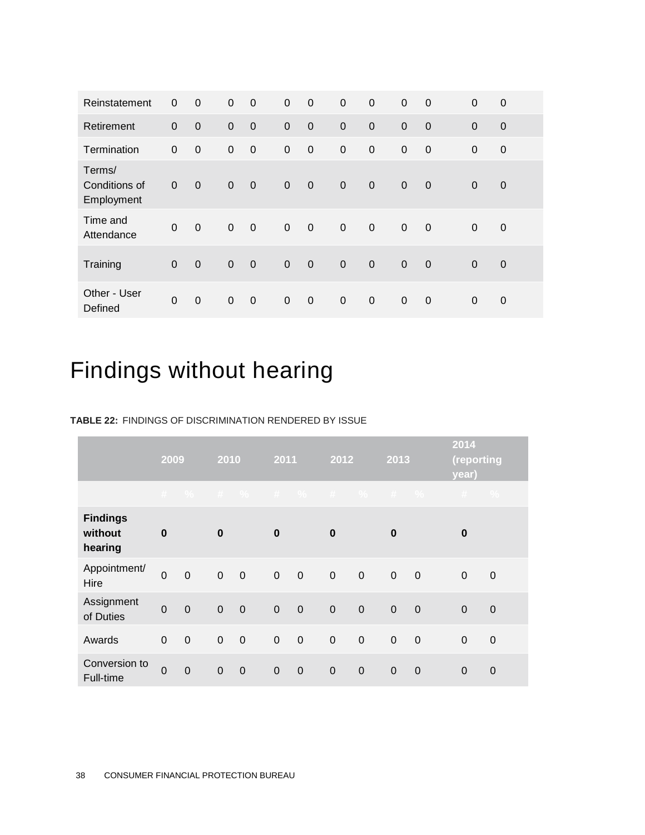| Reinstatement                         | 0              | $\mathbf 0$ | $\mathbf 0$    | $\mathbf 0$      | $\mathbf 0$ | $\mathbf 0$    | $\mathbf 0$ | $\mathbf 0$      | $\mathbf 0$    | $\mathbf 0$    | $\mathbf 0$ | 0              |
|---------------------------------------|----------------|-------------|----------------|------------------|-------------|----------------|-------------|------------------|----------------|----------------|-------------|----------------|
| Retirement                            | $\overline{0}$ | $\mathbf 0$ | $\mathbf 0$    | $\mathbf 0$      | $\mathbf 0$ | $\overline{0}$ | $\mathbf 0$ | $\mathbf 0$      | $\mathbf 0$    | $\mathbf 0$    | $\Omega$    | $\mathbf 0$    |
| Termination                           | $\mathbf 0$    | $\mathbf 0$ | $\mathbf 0$    | $\boldsymbol{0}$ | $\mathbf 0$ | $\mathbf 0$    | $\mathbf 0$ | $\mathbf 0$      | $\mathbf 0$    | $\mathbf 0$    | $\Omega$    | $\mathbf 0$    |
| Terms/<br>Conditions of<br>Employment | $\overline{0}$ | $\mathbf 0$ | $\mathbf 0$    | $\overline{0}$   | $\mathbf 0$ | $\overline{0}$ | $\mathbf 0$ | $\mathbf 0$      | $\mathbf 0$    | $\mathbf 0$    | $\mathbf 0$ | $\mathbf 0$    |
| Time and<br>Attendance                | $\mathbf 0$    | $\mathbf 0$ | $\mathbf 0$    | $\boldsymbol{0}$ | $\pmb{0}$   | $\mathbf 0$    | $\pmb{0}$   | $\boldsymbol{0}$ | $\mathbf 0$    | $\overline{0}$ | $\mathbf 0$ | $\mathbf 0$    |
| Training                              | $\overline{0}$ | $\mathbf 0$ | $\overline{0}$ | $\mathbf 0$      | $\mathbf 0$ | $\mathbf 0$    | $\mathbf 0$ | $\mathbf 0$      | $\overline{0}$ | $\overline{0}$ | $\mathbf 0$ | $\overline{0}$ |
| Other - User<br>Defined               | $\Omega$       | $\mathbf 0$ | $\mathbf 0$    | $\mathbf 0$      | $\mathbf 0$ | $\mathbf 0$    | $\mathbf 0$ | $\mathbf 0$      | $\mathbf 0$    | $\overline{0}$ | $\Omega$    | 0              |

## Findings without hearing

#### **TABLE 22:** FINDINGS OF DISCRIMINATION RENDERED BY ISSUE

|                                       | 2009           |                | 2010           |             | 2011           |                | 2012          |                | $\overline{2013}$ |                | 2014<br>(reporting<br>year) |               |
|---------------------------------------|----------------|----------------|----------------|-------------|----------------|----------------|---------------|----------------|-------------------|----------------|-----------------------------|---------------|
|                                       | $\#$           | $\frac{9}{6}$  |                |             |                |                | $#$ % $#$ % # |                | $\%$ # $\%$       |                | #                           | $\frac{0}{2}$ |
| <b>Findings</b><br>without<br>hearing | $\bf{0}$       |                | $\bf{0}$       |             | $\bf{0}$       |                | $\bf{0}$      |                | $\bf{0}$          |                | $\bf{0}$                    |               |
| Appointment/<br>Hire                  | $\mathbf 0$    | $\mathbf 0$    | $\mathbf 0$    | $\mathbf 0$ | $\mathbf 0$    | $\overline{0}$ | $\mathbf 0$   | $\overline{0}$ | $\mathbf 0$       | $\overline{0}$ | $\Omega$                    | $\mathbf 0$   |
| Assignment<br>of Duties               | $\overline{0}$ | $\overline{0}$ | $\overline{0}$ | $\mathbf 0$ | $\mathbf 0$    | $\overline{0}$ | $\mathbf 0$   | $\mathbf 0$    | $\mathbf 0$       | $\mathbf 0$    | $\overline{0}$              | $\mathbf 0$   |
| Awards                                | $\mathbf 0$    | $\mathbf 0$    | $\mathbf 0$    | $\mathbf 0$ | $\mathbf 0$    | $\mathbf 0$    | $\mathbf 0$   | $\mathbf 0$    | $\boldsymbol{0}$  | $\mathbf 0$    | $\mathbf 0$                 | $\mathbf 0$   |
| Conversion to<br>Full-time            | $\mathbf 0$    | $\overline{0}$ | $\mathbf 0$    | $\mathbf 0$ | $\overline{0}$ | $\overline{0}$ | $\mathbf 0$   | $\mathbf 0$    | $\mathbf 0$       | $\overline{0}$ | $\mathbf 0$                 | $\mathbf 0$   |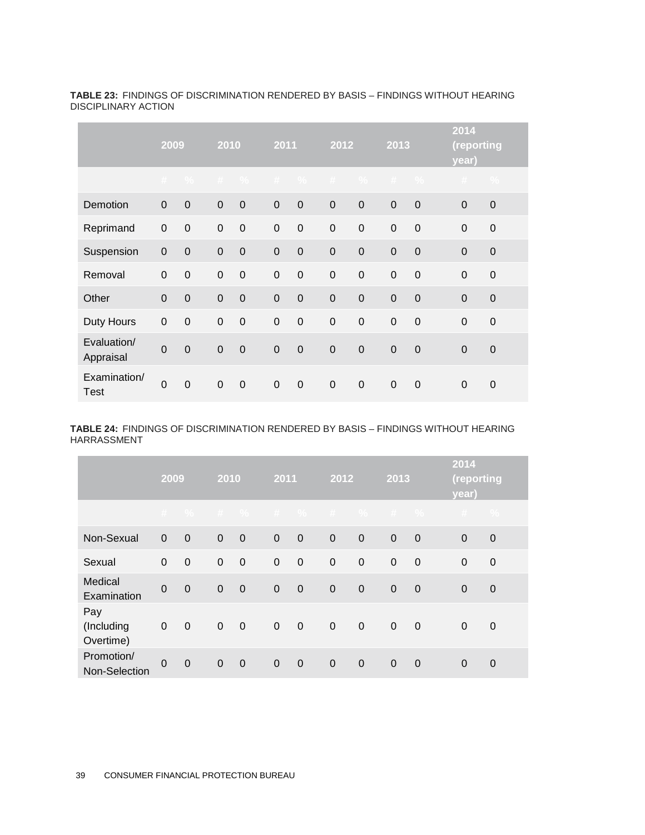|                          |                | $\overline{2009}$ |             | 2010          |              | 2011          | 2012             |                | 2013        |                  | 2014<br>(reporting<br>year) |                  |  |
|--------------------------|----------------|-------------------|-------------|---------------|--------------|---------------|------------------|----------------|-------------|------------------|-----------------------------|------------------|--|
|                          | #              | $\frac{0}{0}$     | #           | $\frac{0}{2}$ | $+$          | $\frac{0}{2}$ | $\#$             | $\frac{0}{2}$  | $\#$        | $\frac{0}{0}$    | $\#$                        | $\frac{0}{2}$    |  |
| Demotion                 | $\mathbf 0$    | $\mathbf 0$       | $\pmb{0}$   | $\mathbf 0$   | $\mathbf 0$  | $\mathbf 0$   | $\mathbf 0$      | $\mathbf 0$    | $\mathbf 0$ | $\mathbf 0$      | 0                           | $\mathbf 0$      |  |
| Reprimand                | $\mathbf 0$    | $\mathbf 0$       | $\mathbf 0$ | $\mathbf 0$   | $\mathbf 0$  | $\mathbf 0$   | $\mathbf 0$      | $\overline{0}$ | $\mathbf 0$ | $\mathbf 0$      | $\mathbf 0$                 | $\mathbf 0$      |  |
| Suspension               | $\mathbf 0$    | $\mathbf 0$       | $\mathbf 0$ | $\mathbf 0$   | $\mathbf 0$  | $\mathbf 0$   | $\overline{0}$   | $\overline{0}$ | $\mathbf 0$ | $\mathbf 0$      | $\mathbf 0$                 | $\mathbf 0$      |  |
| Removal                  | $\overline{0}$ | $\mathbf 0$       | $\mathbf 0$ | $\mathbf 0$   | $\mathbf 0$  | $\mathbf 0$   | $\mathbf 0$      | $\mathbf 0$    | $\mathbf 0$ | $\mathbf 0$      | $\mathbf 0$                 | $\mathbf 0$      |  |
| Other                    | $\overline{0}$ | $\mathbf 0$       | $\pmb{0}$   | $\mathbf 0$   | $\mathbf 0$  | $\mathbf 0$   | $\mathbf 0$      | $\overline{0}$ | $\mathbf 0$ | $\mathbf 0$      | $\mathbf 0$                 | $\mathbf 0$      |  |
| Duty Hours               | $\mathbf 0$    | $\boldsymbol{0}$  | $\pmb{0}$   | $\mathbf 0$   | $\pmb{0}$    | $\mathbf 0$   | $\boldsymbol{0}$ | $\mathbf 0$    | $\pmb{0}$   | $\boldsymbol{0}$ | $\mathsf{O}\xspace$         | $\mathbf 0$      |  |
| Evaluation/<br>Appraisal | $\mathbf 0$    | $\mathbf 0$       | $\mathbf 0$ | $\mathbf 0$   | $\mathbf 0$  | $\mathbf 0$   | $\mathbf 0$      | $\mathbf 0$    | $\mathbf 0$ | $\mathbf 0$      | 0                           | $\boldsymbol{0}$ |  |
| Examination/<br>Test     | $\overline{0}$ | $\mathbf 0$       | $\mathbf 0$ | $\mathbf 0$   | $\mathbf{0}$ | $\mathbf 0$   | $\mathbf 0$      | $\mathbf 0$    | $\mathbf 0$ | $\mathbf 0$      | 0                           | $\overline{0}$   |  |

**TABLE 23:** FINDINGS OF DISCRIMINATION RENDERED BY BASIS – FINDINGS WITHOUT HEARING DISCIPLINARY ACTION

**TABLE 24:** FINDINGS OF DISCRIMINATION RENDERED BY BASIS – FINDINGS WITHOUT HEARING HARRASSMENT

|                                | 2009        |                | 2010           |             | 2011        |                         | 2012        |             | 2013        |                | 2014<br>(reporting<br>year) |               |
|--------------------------------|-------------|----------------|----------------|-------------|-------------|-------------------------|-------------|-------------|-------------|----------------|-----------------------------|---------------|
|                                |             |                |                |             |             |                         |             |             |             |                | # % # % # % # % # % #       | $\frac{0}{0}$ |
| Non-Sexual                     | $\pmb{0}$   | $\mathbf 0$    | $\mathbf 0$    | $\mathbf 0$ | $\mathbf 0$ | $\overline{0}$          | $\mathbf 0$ | $\mathbf 0$ | $\mathbf 0$ | $\mathbf 0$    | $\mathbf 0$                 | $\mathbf 0$   |
| Sexual                         | $\Omega$    | $\mathbf 0$    | $\Omega$       | $\mathbf 0$ | $\mathbf 0$ | $\overline{0}$          | $\mathbf 0$ | $\mathbf 0$ | $\mathbf 0$ | $\mathbf 0$    | $\Omega$                    | $\mathbf 0$   |
| Medical<br>Examination         | $\mathbf 0$ | $\overline{0}$ | $\overline{0}$ | $\mathbf 0$ | $\mathbf 0$ | $\overline{0}$          | $\mathbf 0$ | $\mathbf 0$ | $\mathbf 0$ | $\overline{0}$ | $\Omega$                    | $\mathbf 0$   |
| Pay<br>(Including<br>Overtime) | $\pmb{0}$   | $\mathbf 0$    | $\mathbf 0$    | $\mathbf 0$ | $\mathbf 0$ | $\overline{\mathbf{0}}$ | $\mathbf 0$ | $\mathbf 0$ | $\mathbf 0$ | $\mathbf 0$    | $\Omega$                    | $\mathbf 0$   |
| Promotion/<br>Non-Selection    | $\mathbf 0$ | $\overline{0}$ | $\Omega$       | $\mathbf 0$ | $\mathbf 0$ | $\mathbf 0$             | $\mathbf 0$ | $\mathbf 0$ | $\mathbf 0$ | $\mathbf 0$    | $\Omega$                    | $\Omega$      |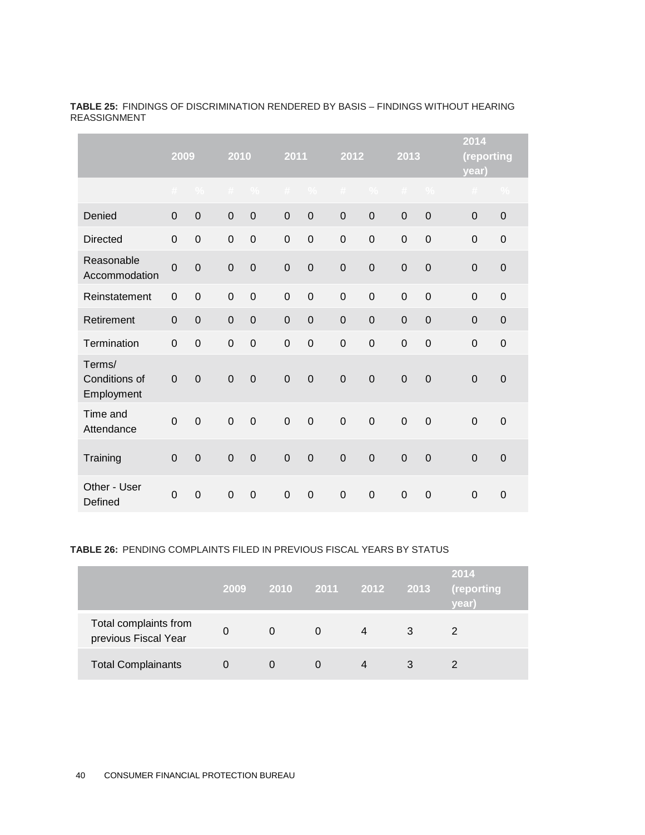|                                       | 2009           |               | 2010           |                | 2011           |                | 2012           |                | 2013             |                | 2014<br>(reporting<br>year) |                     |
|---------------------------------------|----------------|---------------|----------------|----------------|----------------|----------------|----------------|----------------|------------------|----------------|-----------------------------|---------------------|
|                                       | $\#$           | $\frac{0}{2}$ | $\#$           | $\frac{0}{2}$  | #              | $\%$           | #              | $\frac{0}{0}$  | #                | $\%$           | #                           | $\%$                |
| Denied                                | 0              | $\mathbf 0$   | $\mathbf 0$    | $\mathbf 0$    | $\mathbf 0$    | $\mathbf 0$    | $\mathbf 0$    | $\mathbf 0$    | $\mathbf 0$      | $\overline{0}$ | 0                           | $\mathbf 0$         |
| <b>Directed</b>                       | $\mathbf 0$    | $\mathbf 0$   | $\mathbf 0$    | $\mathbf 0$    | $\overline{0}$ | $\overline{0}$ | $\mathbf 0$    | $\mathbf 0$    | $\mathbf 0$      | $\mathbf 0$    | 0                           | $\mathbf 0$         |
| Reasonable<br>Accommodation           | $\mathbf 0$    | $\mathbf 0$   | $\mathbf 0$    | $\overline{0}$ | $\overline{0}$ | $\mathbf 0$    | $\mathbf 0$    | $\mathbf 0$    | $\mathbf 0$      | $\overline{0}$ | 0                           | $\mathsf{O}\xspace$ |
| Reinstatement                         | $\mathbf 0$    | $\mathbf 0$   | $\mathbf 0$    | $\overline{0}$ | $\mathbf 0$    | $\mathbf 0$    | $\mathbf 0$    | $\mathbf 0$    | $\mathbf 0$      | $\mathbf 0$    | $\mathbf 0$                 | $\mathbf 0$         |
| Retirement                            | $\mathbf 0$    | $\mathbf 0$   | $\overline{0}$ | $\overline{0}$ | $\mathbf 0$    | $\overline{0}$ | $\mathbf 0$    | $\mathbf 0$    | $\mathbf 0$      | $\overline{0}$ | $\Omega$                    | $\mathbf 0$         |
| Termination                           | $\mathbf 0$    | $\mathbf 0$   | $\mathbf 0$    | $\mathbf 0$    | $\mathbf 0$    | $\mathbf 0$    | $\mathbf 0$    | $\mathbf 0$    | $\mathbf 0$      | $\overline{0}$ | 0                           | $\mathbf 0$         |
| Terms/<br>Conditions of<br>Employment | $\mathbf 0$    | $\mathbf 0$   | $\overline{0}$ | $\overline{0}$ | $\overline{0}$ | $\mathbf 0$    | $\mathbf 0$    | $\mathbf 0$    | $\mathbf 0$      | $\mathbf 0$    | $\overline{0}$              | $\mathbf 0$         |
| Time and<br>Attendance                | $\mathbf 0$    | $\mathbf 0$   | $\overline{0}$ | $\mathbf 0$    | $\mathbf 0$    | $\mathbf 0$    | $\mathbf 0$    | $\mathbf 0$    | $\mathbf 0$      | $\overline{0}$ | $\overline{0}$              | $\mathbf 0$         |
| Training                              | $\overline{0}$ | $\mathbf 0$   | $\overline{0}$ | $\overline{0}$ | $\overline{0}$ | $\overline{0}$ | $\overline{0}$ | $\overline{0}$ | $\boldsymbol{0}$ | $\overline{0}$ | 0                           | $\mathbf 0$         |
| Other - User<br>Defined               | $\mathbf 0$    | $\mathbf 0$   | $\mathbf 0$    | $\mathbf 0$    | $\mathbf 0$    | $\mathbf 0$    | $\mathbf 0$    | $\mathbf 0$    | $\pmb{0}$        | $\mathbf 0$    | $\mathbf 0$                 | $\mathbf 0$         |

**TABLE 25:** FINDINGS OF DISCRIMINATION RENDERED BY BASIS – FINDINGS WITHOUT HEARING REASSIGNMENT

#### **TABLE 26:** PENDING COMPLAINTS FILED IN PREVIOUS FISCAL YEARS BY STATUS

|                                               | 2009 | 2010     | 2011 2012    |   | 2013 | 2014<br>(reporting<br>vear) |
|-----------------------------------------------|------|----------|--------------|---|------|-----------------------------|
| Total complaints from<br>previous Fiscal Year | 0    | $\Omega$ | 0            | 4 | 3    |                             |
| <b>Total Complainants</b>                     |      | O        | $\mathbf{O}$ |   | 3    |                             |